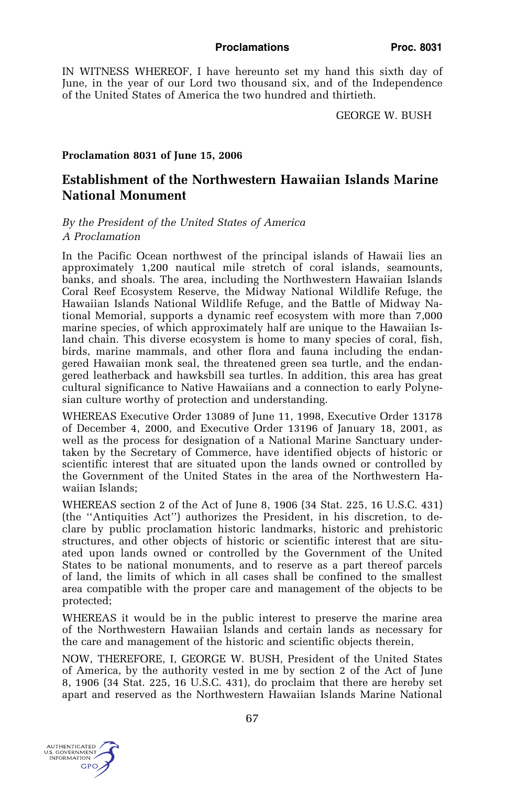IN WITNESS WHEREOF, I have hereunto set my hand this sixth day of June, in the year of our Lord two thousand six, and of the Independence of the United States of America the two hundred and thirtieth.

GEORGE W. BUSH

## **Proclamation 8031 of June 15, 2006**

# **Establishment of the Northwestern Hawaiian Islands Marine National Monument**

## *By the President of the United States of America A Proclamation*

In the Pacific Ocean northwest of the principal islands of Hawaii lies an approximately 1,200 nautical mile stretch of coral islands, seamounts, banks, and shoals. The area, including the Northwestern Hawaiian Islands Coral Reef Ecosystem Reserve, the Midway National Wildlife Refuge, the Hawaiian Islands National Wildlife Refuge, and the Battle of Midway National Memorial, supports a dynamic reef ecosystem with more than 7,000 marine species, of which approximately half are unique to the Hawaiian Island chain. This diverse ecosystem is home to many species of coral, fish, birds, marine mammals, and other flora and fauna including the endangered Hawaiian monk seal, the threatened green sea turtle, and the endangered leatherback and hawksbill sea turtles. In addition, this area has great cultural significance to Native Hawaiians and a connection to early Polynesian culture worthy of protection and understanding.

WHEREAS Executive Order 13089 of June 11, 1998, Executive Order 13178 of December 4, 2000, and Executive Order 13196 of January 18, 2001, as well as the process for designation of a National Marine Sanctuary undertaken by the Secretary of Commerce, have identified objects of historic or scientific interest that are situated upon the lands owned or controlled by the Government of the United States in the area of the Northwestern Hawaiian Islands;

WHEREAS section 2 of the Act of June 8, 1906 (34 Stat. 225, 16 U.S.C. 431) (the ''Antiquities Act'') authorizes the President, in his discretion, to declare by public proclamation historic landmarks, historic and prehistoric structures, and other objects of historic or scientific interest that are situated upon lands owned or controlled by the Government of the United States to be national monuments, and to reserve as a part thereof parcels of land, the limits of which in all cases shall be confined to the smallest area compatible with the proper care and management of the objects to be protected;

WHEREAS it would be in the public interest to preserve the marine area of the Northwestern Hawaiian Islands and certain lands as necessary for the care and management of the historic and scientific objects therein,

NOW, THEREFORE, I, GEORGE W. BUSH, President of the United States of America, by the authority vested in me by section 2 of the Act of June 8, 1906 (34 Stat. 225, 16 U.S.C. 431), do proclaim that there are hereby set apart and reserved as the Northwestern Hawaiian Islands Marine National

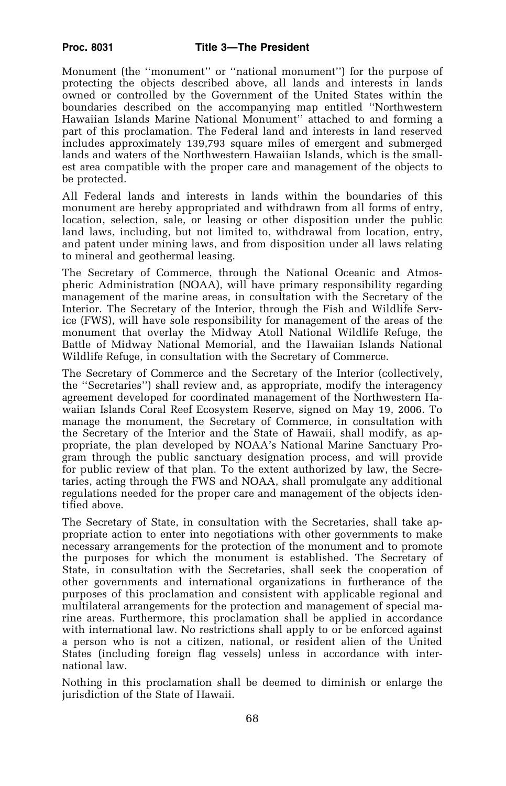Monument (the ''monument'' or ''national monument'') for the purpose of protecting the objects described above, all lands and interests in lands owned or controlled by the Government of the United States within the boundaries described on the accompanying map entitled ''Northwestern Hawaiian Islands Marine National Monument'' attached to and forming a part of this proclamation. The Federal land and interests in land reserved includes approximately 139,793 square miles of emergent and submerged lands and waters of the Northwestern Hawaiian Islands, which is the smallest area compatible with the proper care and management of the objects to be protected.

All Federal lands and interests in lands within the boundaries of this monument are hereby appropriated and withdrawn from all forms of entry, location, selection, sale, or leasing or other disposition under the public land laws, including, but not limited to, withdrawal from location, entry, and patent under mining laws, and from disposition under all laws relating to mineral and geothermal leasing.

The Secretary of Commerce, through the National Oceanic and Atmospheric Administration (NOAA), will have primary responsibility regarding management of the marine areas, in consultation with the Secretary of the Interior. The Secretary of the Interior, through the Fish and Wildlife Service (FWS), will have sole responsibility for management of the areas of the monument that overlay the Midway Atoll National Wildlife Refuge, the Battle of Midway National Memorial, and the Hawaiian Islands National Wildlife Refuge, in consultation with the Secretary of Commerce.

The Secretary of Commerce and the Secretary of the Interior (collectively, the ''Secretaries'') shall review and, as appropriate, modify the interagency agreement developed for coordinated management of the Northwestern Hawaiian Islands Coral Reef Ecosystem Reserve, signed on May 19, 2006. To manage the monument, the Secretary of Commerce, in consultation with the Secretary of the Interior and the State of Hawaii, shall modify, as appropriate, the plan developed by NOAA's National Marine Sanctuary Program through the public sanctuary designation process, and will provide for public review of that plan. To the extent authorized by law, the Secretaries, acting through the FWS and NOAA, shall promulgate any additional regulations needed for the proper care and management of the objects identified above.

The Secretary of State, in consultation with the Secretaries, shall take appropriate action to enter into negotiations with other governments to make necessary arrangements for the protection of the monument and to promote the purposes for which the monument is established. The Secretary of State, in consultation with the Secretaries, shall seek the cooperation of other governments and international organizations in furtherance of the purposes of this proclamation and consistent with applicable regional and multilateral arrangements for the protection and management of special marine areas. Furthermore, this proclamation shall be applied in accordance with international law. No restrictions shall apply to or be enforced against a person who is not a citizen, national, or resident alien of the United States (including foreign flag vessels) unless in accordance with international law.

Nothing in this proclamation shall be deemed to diminish or enlarge the jurisdiction of the State of Hawaii.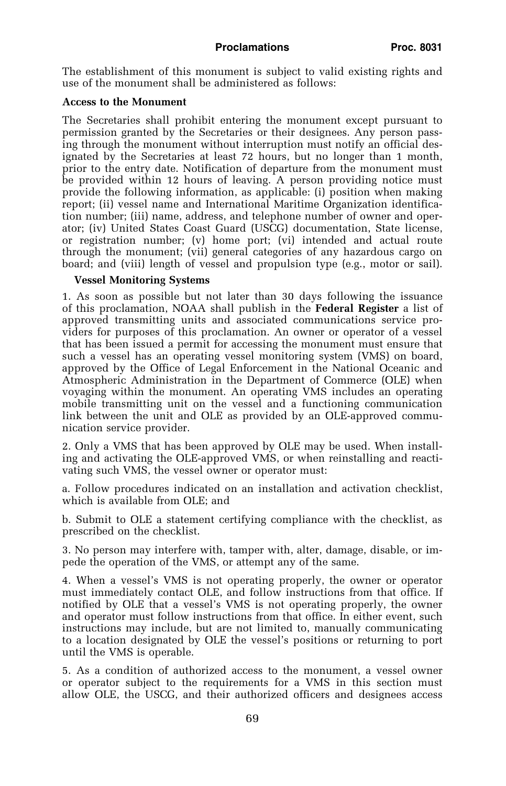#### Proclamations **Proc. 8031**

The establishment of this monument is subject to valid existing rights and use of the monument shall be administered as follows:

## **Access to the Monument**

The Secretaries shall prohibit entering the monument except pursuant to permission granted by the Secretaries or their designees. Any person passing through the monument without interruption must notify an official designated by the Secretaries at least 72 hours, but no longer than 1 month, prior to the entry date. Notification of departure from the monument must be provided within 12 hours of leaving. A person providing notice must provide the following information, as applicable: (i) position when making report; (ii) vessel name and International Maritime Organization identification number; (iii) name, address, and telephone number of owner and operator; (iv) United States Coast Guard (USCG) documentation, State license, or registration number; (v) home port; (vi) intended and actual route through the monument; (vii) general categories of any hazardous cargo on board; and (viii) length of vessel and propulsion type (e.g., motor or sail).

## **Vessel Monitoring Systems**

1. As soon as possible but not later than 30 days following the issuance of this proclamation, NOAA shall publish in the **Federal Register** a list of approved transmitting units and associated communications service providers for purposes of this proclamation. An owner or operator of a vessel that has been issued a permit for accessing the monument must ensure that such a vessel has an operating vessel monitoring system (VMS) on board, approved by the Office of Legal Enforcement in the National Oceanic and Atmospheric Administration in the Department of Commerce (OLE) when voyaging within the monument. An operating VMS includes an operating mobile transmitting unit on the vessel and a functioning communication link between the unit and OLE as provided by an OLE-approved communication service provider.

2. Only a VMS that has been approved by OLE may be used. When installing and activating the OLE-approved VMS, or when reinstalling and reactivating such VMS, the vessel owner or operator must:

a. Follow procedures indicated on an installation and activation checklist, which is available from OLE; and

b. Submit to OLE a statement certifying compliance with the checklist, as prescribed on the checklist.

3. No person may interfere with, tamper with, alter, damage, disable, or impede the operation of the VMS, or attempt any of the same.

4. When a vessel's VMS is not operating properly, the owner or operator must immediately contact OLE, and follow instructions from that office. If notified by OLE that a vessel's VMS is not operating properly, the owner and operator must follow instructions from that office. In either event, such instructions may include, but are not limited to, manually communicating to a location designated by OLE the vessel's positions or returning to port until the VMS is operable.

5. As a condition of authorized access to the monument, a vessel owner or operator subject to the requirements for a VMS in this section must allow OLE, the USCG, and their authorized officers and designees access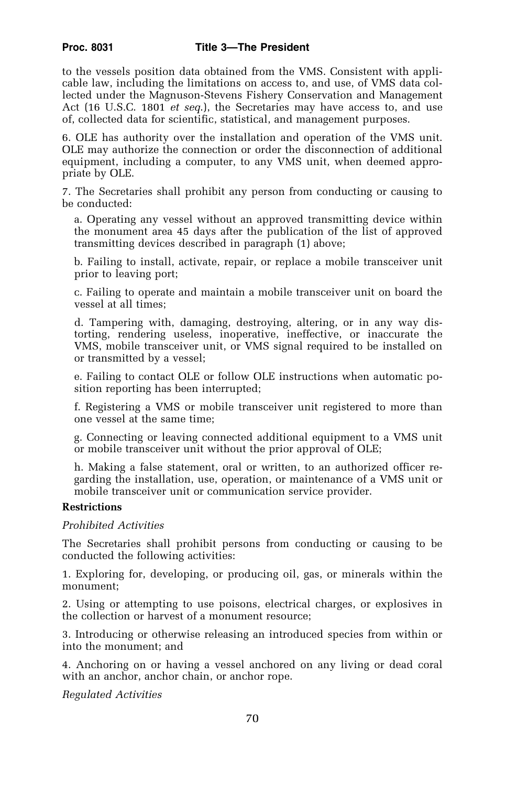to the vessels position data obtained from the VMS. Consistent with applicable law, including the limitations on access to, and use, of VMS data collected under the Magnuson-Stevens Fishery Conservation and Management Act (16 U.S.C. 1801 *et seq*.), the Secretaries may have access to, and use of, collected data for scientific, statistical, and management purposes.

6. OLE has authority over the installation and operation of the VMS unit. OLE may authorize the connection or order the disconnection of additional equipment, including a computer, to any VMS unit, when deemed appropriate by OLE.

7. The Secretaries shall prohibit any person from conducting or causing to be conducted:

a. Operating any vessel without an approved transmitting device within the monument area 45 days after the publication of the list of approved transmitting devices described in paragraph (1) above;

b. Failing to install, activate, repair, or replace a mobile transceiver unit prior to leaving port;

c. Failing to operate and maintain a mobile transceiver unit on board the vessel at all times;

d. Tampering with, damaging, destroying, altering, or in any way distorting, rendering useless, inoperative, ineffective, or inaccurate the VMS, mobile transceiver unit, or VMS signal required to be installed on or transmitted by a vessel;

e. Failing to contact OLE or follow OLE instructions when automatic position reporting has been interrupted;

f. Registering a VMS or mobile transceiver unit registered to more than one vessel at the same time;

g. Connecting or leaving connected additional equipment to a VMS unit or mobile transceiver unit without the prior approval of OLE;

h. Making a false statement, oral or written, to an authorized officer regarding the installation, use, operation, or maintenance of a VMS unit or mobile transceiver unit or communication service provider.

## **Restrictions**

*Prohibited Activities* 

The Secretaries shall prohibit persons from conducting or causing to be conducted the following activities:

1. Exploring for, developing, or producing oil, gas, or minerals within the monument;

2. Using or attempting to use poisons, electrical charges, or explosives in the collection or harvest of a monument resource;

3. Introducing or otherwise releasing an introduced species from within or into the monument; and

4. Anchoring on or having a vessel anchored on any living or dead coral with an anchor, anchor chain, or anchor rope.

*Regulated Activities*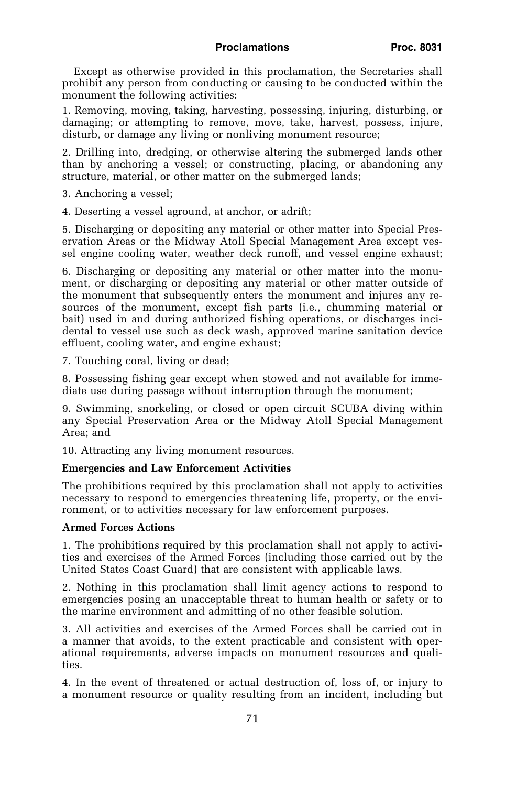Except as otherwise provided in this proclamation, the Secretaries shall prohibit any person from conducting or causing to be conducted within the monument the following activities:

1. Removing, moving, taking, harvesting, possessing, injuring, disturbing, or damaging; or attempting to remove, move, take, harvest, possess, injure, disturb, or damage any living or nonliving monument resource;

2. Drilling into, dredging, or otherwise altering the submerged lands other than by anchoring a vessel; or constructing, placing, or abandoning any structure, material, or other matter on the submerged lands;

- 3. Anchoring a vessel;
- 4. Deserting a vessel aground, at anchor, or adrift;

5. Discharging or depositing any material or other matter into Special Preservation Areas or the Midway Atoll Special Management Area except vessel engine cooling water, weather deck runoff, and vessel engine exhaust;

6. Discharging or depositing any material or other matter into the monument, or discharging or depositing any material or other matter outside of the monument that subsequently enters the monument and injures any resources of the monument, except fish parts (i.e., chumming material or bait) used in and during authorized fishing operations, or discharges incidental to vessel use such as deck wash, approved marine sanitation device effluent, cooling water, and engine exhaust;

7. Touching coral, living or dead;

8. Possessing fishing gear except when stowed and not available for immediate use during passage without interruption through the monument;

9. Swimming, snorkeling, or closed or open circuit SCUBA diving within any Special Preservation Area or the Midway Atoll Special Management Area; and

10. Attracting any living monument resources.

## **Emergencies and Law Enforcement Activities**

The prohibitions required by this proclamation shall not apply to activities necessary to respond to emergencies threatening life, property, or the environment, or to activities necessary for law enforcement purposes.

#### **Armed Forces Actions**

1. The prohibitions required by this proclamation shall not apply to activities and exercises of the Armed Forces (including those carried out by the United States Coast Guard) that are consistent with applicable laws.

2. Nothing in this proclamation shall limit agency actions to respond to emergencies posing an unacceptable threat to human health or safety or to the marine environment and admitting of no other feasible solution.

3. All activities and exercises of the Armed Forces shall be carried out in a manner that avoids, to the extent practicable and consistent with operational requirements, adverse impacts on monument resources and qualities.

4. In the event of threatened or actual destruction of, loss of, or injury to a monument resource or quality resulting from an incident, including but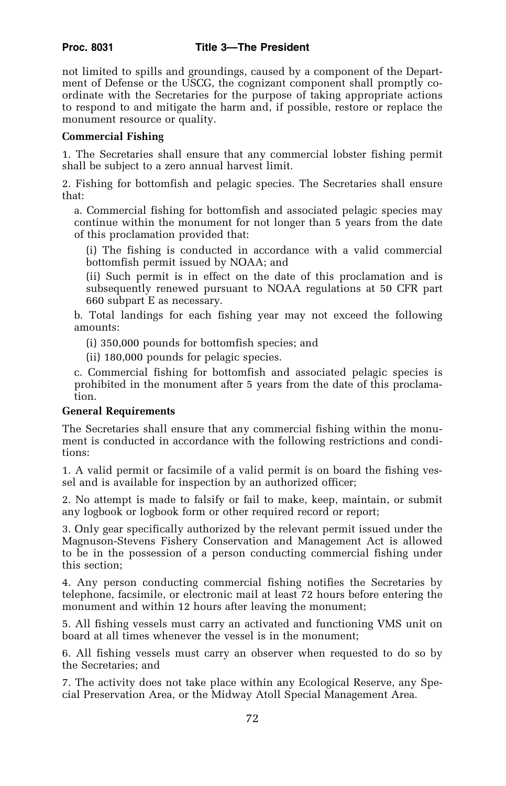not limited to spills and groundings, caused by a component of the Department of Defense or the USCG, the cognizant component shall promptly coordinate with the Secretaries for the purpose of taking appropriate actions to respond to and mitigate the harm and, if possible, restore or replace the monument resource or quality.

## **Commercial Fishing**

1. The Secretaries shall ensure that any commercial lobster fishing permit shall be subject to a zero annual harvest limit.

2. Fishing for bottomfish and pelagic species. The Secretaries shall ensure that:

a. Commercial fishing for bottomfish and associated pelagic species may continue within the monument for not longer than 5 years from the date of this proclamation provided that:

(i) The fishing is conducted in accordance with a valid commercial bottomfish permit issued by NOAA; and

(ii) Such permit is in effect on the date of this proclamation and is subsequently renewed pursuant to NOAA regulations at 50 CFR part 660 subpart E as necessary.

b. Total landings for each fishing year may not exceed the following amounts:

(i) 350,000 pounds for bottomfish species; and

(ii) 180,000 pounds for pelagic species.

c. Commercial fishing for bottomfish and associated pelagic species is prohibited in the monument after 5 years from the date of this proclamation.

## **General Requirements**

The Secretaries shall ensure that any commercial fishing within the monument is conducted in accordance with the following restrictions and conditions:

1. A valid permit or facsimile of a valid permit is on board the fishing vessel and is available for inspection by an authorized officer;

2. No attempt is made to falsify or fail to make, keep, maintain, or submit any logbook or logbook form or other required record or report;

3. Only gear specifically authorized by the relevant permit issued under the Magnuson-Stevens Fishery Conservation and Management Act is allowed to be in the possession of a person conducting commercial fishing under this section;

4. Any person conducting commercial fishing notifies the Secretaries by telephone, facsimile, or electronic mail at least 72 hours before entering the monument and within 12 hours after leaving the monument;

5. All fishing vessels must carry an activated and functioning VMS unit on board at all times whenever the vessel is in the monument;

6. All fishing vessels must carry an observer when requested to do so by the Secretaries; and

7. The activity does not take place within any Ecological Reserve, any Special Preservation Area, or the Midway Atoll Special Management Area.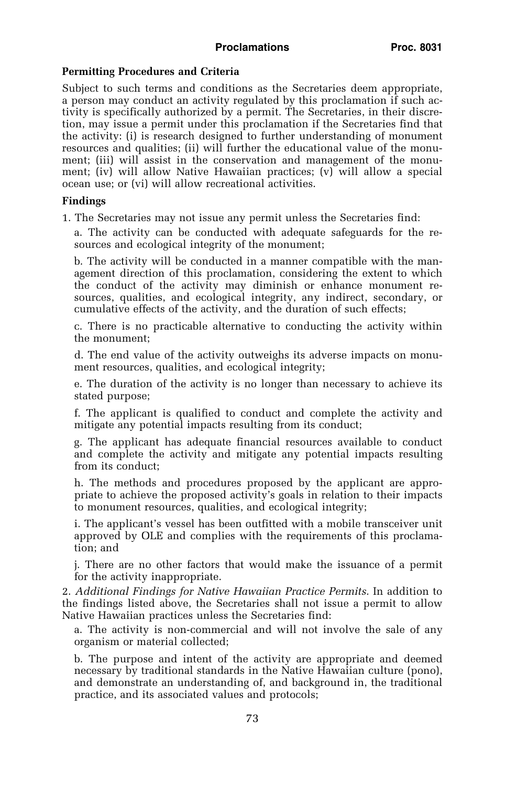## **Permitting Procedures and Criteria**

Subject to such terms and conditions as the Secretaries deem appropriate, a person may conduct an activity regulated by this proclamation if such activity is specifically authorized by a permit. The Secretaries, in their discretion, may issue a permit under this proclamation if the Secretaries find that the activity: (i) is research designed to further understanding of monument resources and qualities; (ii) will further the educational value of the monument; (iii) will assist in the conservation and management of the monument; (iv) will allow Native Hawaiian practices; (v) will allow a special ocean use; or (vi) will allow recreational activities.

## **Findings**

1. The Secretaries may not issue any permit unless the Secretaries find:

a. The activity can be conducted with adequate safeguards for the resources and ecological integrity of the monument;

b. The activity will be conducted in a manner compatible with the management direction of this proclamation, considering the extent to which the conduct of the activity may diminish or enhance monument resources, qualities, and ecological integrity, any indirect, secondary, or cumulative effects of the activity, and the duration of such effects;

c. There is no practicable alternative to conducting the activity within the monument;

d. The end value of the activity outweighs its adverse impacts on monument resources, qualities, and ecological integrity;

e. The duration of the activity is no longer than necessary to achieve its stated purpose;

f. The applicant is qualified to conduct and complete the activity and mitigate any potential impacts resulting from its conduct;

g. The applicant has adequate financial resources available to conduct and complete the activity and mitigate any potential impacts resulting from its conduct;

h. The methods and procedures proposed by the applicant are appropriate to achieve the proposed activity's goals in relation to their impacts to monument resources, qualities, and ecological integrity;

i. The applicant's vessel has been outfitted with a mobile transceiver unit approved by OLE and complies with the requirements of this proclamation; and

j. There are no other factors that would make the issuance of a permit for the activity inappropriate.

2. *Additional Findings for Native Hawaiian Practice Permits.* In addition to the findings listed above, the Secretaries shall not issue a permit to allow Native Hawaiian practices unless the Secretaries find:

a. The activity is non-commercial and will not involve the sale of any organism or material collected;

b. The purpose and intent of the activity are appropriate and deemed necessary by traditional standards in the Native Hawaiian culture (pono), and demonstrate an understanding of, and background in, the traditional practice, and its associated values and protocols;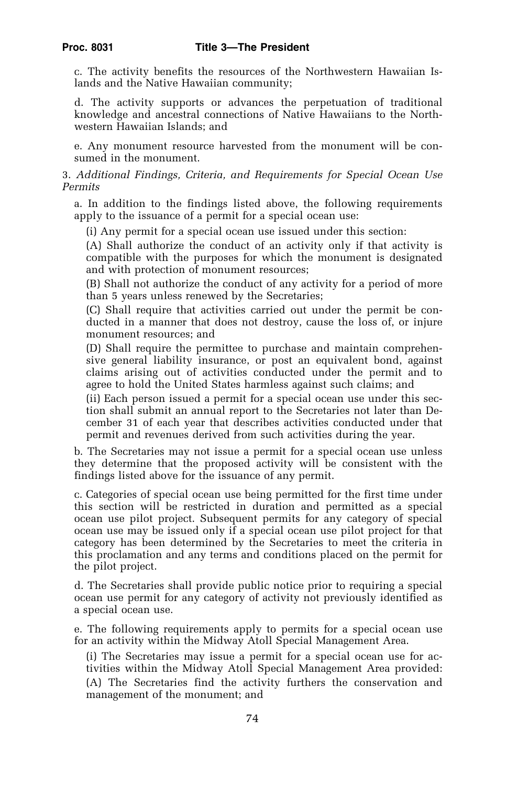c. The activity benefits the resources of the Northwestern Hawaiian Islands and the Native Hawaiian community;

d. The activity supports or advances the perpetuation of traditional knowledge and ancestral connections of Native Hawaiians to the Northwestern Hawaiian Islands; and

e. Any monument resource harvested from the monument will be consumed in the monument.

## 3. *Additional Findings, Criteria, and Requirements for Special Ocean Use Permits*

a. In addition to the findings listed above, the following requirements apply to the issuance of a permit for a special ocean use:

(i) Any permit for a special ocean use issued under this section:

(A) Shall authorize the conduct of an activity only if that activity is compatible with the purposes for which the monument is designated and with protection of monument resources;

(B) Shall not authorize the conduct of any activity for a period of more than 5 years unless renewed by the Secretaries;

(C) Shall require that activities carried out under the permit be conducted in a manner that does not destroy, cause the loss of, or injure monument resources; and

(D) Shall require the permittee to purchase and maintain comprehensive general liability insurance, or post an equivalent bond, against claims arising out of activities conducted under the permit and to agree to hold the United States harmless against such claims; and

(ii) Each person issued a permit for a special ocean use under this section shall submit an annual report to the Secretaries not later than December 31 of each year that describes activities conducted under that permit and revenues derived from such activities during the year.

b. The Secretaries may not issue a permit for a special ocean use unless they determine that the proposed activity will be consistent with the findings listed above for the issuance of any permit.

c. Categories of special ocean use being permitted for the first time under this section will be restricted in duration and permitted as a special ocean use pilot project. Subsequent permits for any category of special ocean use may be issued only if a special ocean use pilot project for that category has been determined by the Secretaries to meet the criteria in this proclamation and any terms and conditions placed on the permit for the pilot project.

d. The Secretaries shall provide public notice prior to requiring a special ocean use permit for any category of activity not previously identified as a special ocean use.

e. The following requirements apply to permits for a special ocean use for an activity within the Midway Atoll Special Management Area.

(i) The Secretaries may issue a permit for a special ocean use for activities within the Midway Atoll Special Management Area provided: (A) The Secretaries find the activity furthers the conservation and management of the monument; and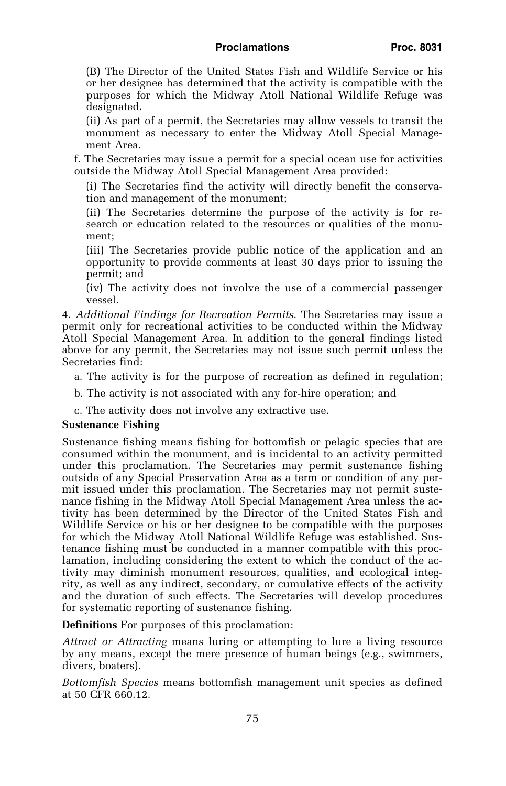## **Proclamations Proc. 8031**

(B) The Director of the United States Fish and Wildlife Service or his or her designee has determined that the activity is compatible with the purposes for which the Midway Atoll National Wildlife Refuge was designated.

(ii) As part of a permit, the Secretaries may allow vessels to transit the monument as necessary to enter the Midway Atoll Special Management Area.

f. The Secretaries may issue a permit for a special ocean use for activities outside the Midway Atoll Special Management Area provided:

(i) The Secretaries find the activity will directly benefit the conservation and management of the monument;

(ii) The Secretaries determine the purpose of the activity is for research or education related to the resources or qualities of the monument;

(iii) The Secretaries provide public notice of the application and an opportunity to provide comments at least 30 days prior to issuing the permit; and

(iv) The activity does not involve the use of a commercial passenger vessel.

4. *Additional Findings for Recreation Permits*. The Secretaries may issue a permit only for recreational activities to be conducted within the Midway Atoll Special Management Area. In addition to the general findings listed above for any permit, the Secretaries may not issue such permit unless the Secretaries find:

a. The activity is for the purpose of recreation as defined in regulation;

b. The activity is not associated with any for-hire operation; and

c. The activity does not involve any extractive use.

#### **Sustenance Fishing**

Sustenance fishing means fishing for bottomfish or pelagic species that are consumed within the monument, and is incidental to an activity permitted under this proclamation. The Secretaries may permit sustenance fishing outside of any Special Preservation Area as a term or condition of any permit issued under this proclamation. The Secretaries may not permit sustenance fishing in the Midway Atoll Special Management Area unless the activity has been determined by the Director of the United States Fish and Wildlife Service or his or her designee to be compatible with the purposes for which the Midway Atoll National Wildlife Refuge was established. Sustenance fishing must be conducted in a manner compatible with this proclamation, including considering the extent to which the conduct of the activity may diminish monument resources, qualities, and ecological integrity, as well as any indirect, secondary, or cumulative effects of the activity and the duration of such effects. The Secretaries will develop procedures for systematic reporting of sustenance fishing.

**Definitions** For purposes of this proclamation:

*Attract or Attracting* means luring or attempting to lure a living resource by any means, except the mere presence of human beings (e.g., swimmers, divers, boaters).

*Bottomfish Species* means bottomfish management unit species as defined at 50 CFR 660.12.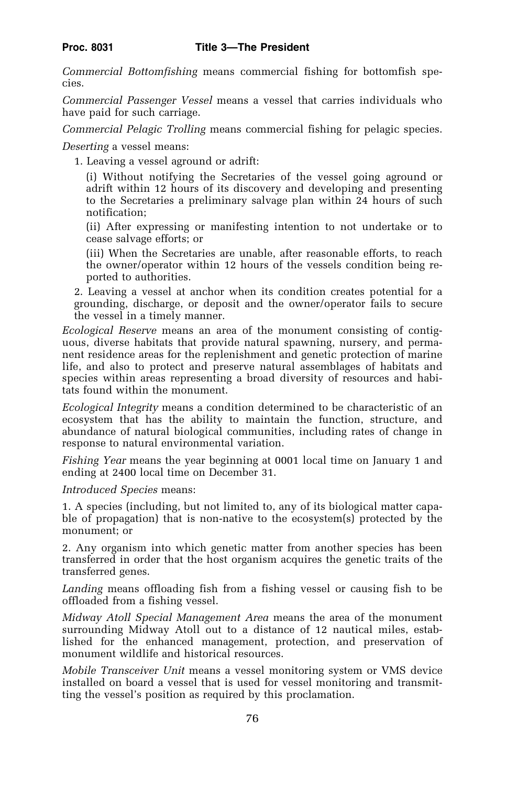*Commercial Bottomfishing* means commercial fishing for bottomfish species.

*Commercial Passenger Vessel* means a vessel that carries individuals who have paid for such carriage.

*Commercial Pelagic Trolling* means commercial fishing for pelagic species.

*Deserting* a vessel means:

1. Leaving a vessel aground or adrift:

(i) Without notifying the Secretaries of the vessel going aground or adrift within 12 hours of its discovery and developing and presenting to the Secretaries a preliminary salvage plan within 24 hours of such notification;

(ii) After expressing or manifesting intention to not undertake or to cease salvage efforts; or

(iii) When the Secretaries are unable, after reasonable efforts, to reach the owner/operator within 12 hours of the vessels condition being reported to authorities.

2. Leaving a vessel at anchor when its condition creates potential for a grounding, discharge, or deposit and the owner/operator fails to secure the vessel in a timely manner.

*Ecological Reserve* means an area of the monument consisting of contiguous, diverse habitats that provide natural spawning, nursery, and permanent residence areas for the replenishment and genetic protection of marine life, and also to protect and preserve natural assemblages of habitats and species within areas representing a broad diversity of resources and habitats found within the monument.

*Ecological Integrity* means a condition determined to be characteristic of an ecosystem that has the ability to maintain the function, structure, and abundance of natural biological communities, including rates of change in response to natural environmental variation.

*Fishing Year* means the year beginning at 0001 local time on January 1 and ending at 2400 local time on December 31.

*Introduced Species* means:

1. A species (including, but not limited to, any of its biological matter capable of propagation) that is non-native to the ecosystem(s) protected by the monument; or

2. Any organism into which genetic matter from another species has been transferred in order that the host organism acquires the genetic traits of the transferred genes.

*Landing* means offloading fish from a fishing vessel or causing fish to be offloaded from a fishing vessel.

*Midway Atoll Special Management Area* means the area of the monument surrounding Midway Atoll out to a distance of 12 nautical miles, established for the enhanced management, protection, and preservation of monument wildlife and historical resources.

*Mobile Transceiver Unit* means a vessel monitoring system or VMS device installed on board a vessel that is used for vessel monitoring and transmitting the vessel's position as required by this proclamation.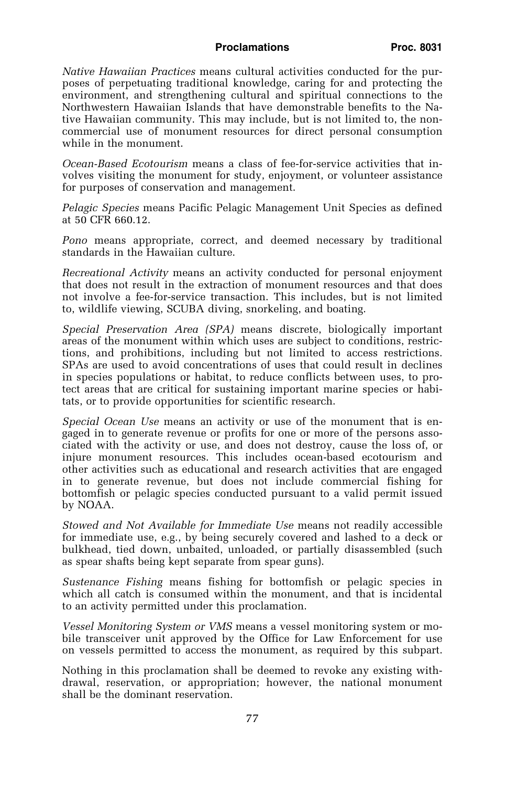#### Proclamations **Proc. 8031**

*Native Hawaiian Practices* means cultural activities conducted for the purposes of perpetuating traditional knowledge, caring for and protecting the environment, and strengthening cultural and spiritual connections to the Northwestern Hawaiian Islands that have demonstrable benefits to the Native Hawaiian community. This may include, but is not limited to, the noncommercial use of monument resources for direct personal consumption while in the monument.

*Ocean-Based Ecotourism* means a class of fee-for-service activities that involves visiting the monument for study, enjoyment, or volunteer assistance for purposes of conservation and management.

*Pelagic Species* means Pacific Pelagic Management Unit Species as defined at 50 CFR 660.12.

*Pono* means appropriate, correct, and deemed necessary by traditional standards in the Hawaiian culture.

*Recreational Activity* means an activity conducted for personal enjoyment that does not result in the extraction of monument resources and that does not involve a fee-for-service transaction. This includes, but is not limited to, wildlife viewing, SCUBA diving, snorkeling, and boating.

*Special Preservation Area (SPA)* means discrete, biologically important areas of the monument within which uses are subject to conditions, restrictions, and prohibitions, including but not limited to access restrictions. SPAs are used to avoid concentrations of uses that could result in declines in species populations or habitat, to reduce conflicts between uses, to protect areas that are critical for sustaining important marine species or habitats, or to provide opportunities for scientific research.

*Special Ocean Use* means an activity or use of the monument that is engaged in to generate revenue or profits for one or more of the persons associated with the activity or use, and does not destroy, cause the loss of, or injure monument resources. This includes ocean-based ecotourism and other activities such as educational and research activities that are engaged in to generate revenue, but does not include commercial fishing for bottomfish or pelagic species conducted pursuant to a valid permit issued by NOAA.

*Stowed and Not Available for Immediate Use* means not readily accessible for immediate use, e.g., by being securely covered and lashed to a deck or bulkhead, tied down, unbaited, unloaded, or partially disassembled (such as spear shafts being kept separate from spear guns).

*Sustenance Fishing* means fishing for bottomfish or pelagic species in which all catch is consumed within the monument, and that is incidental to an activity permitted under this proclamation.

*Vessel Monitoring System or VMS* means a vessel monitoring system or mobile transceiver unit approved by the Office for Law Enforcement for use on vessels permitted to access the monument, as required by this subpart.

Nothing in this proclamation shall be deemed to revoke any existing withdrawal, reservation, or appropriation; however, the national monument shall be the dominant reservation.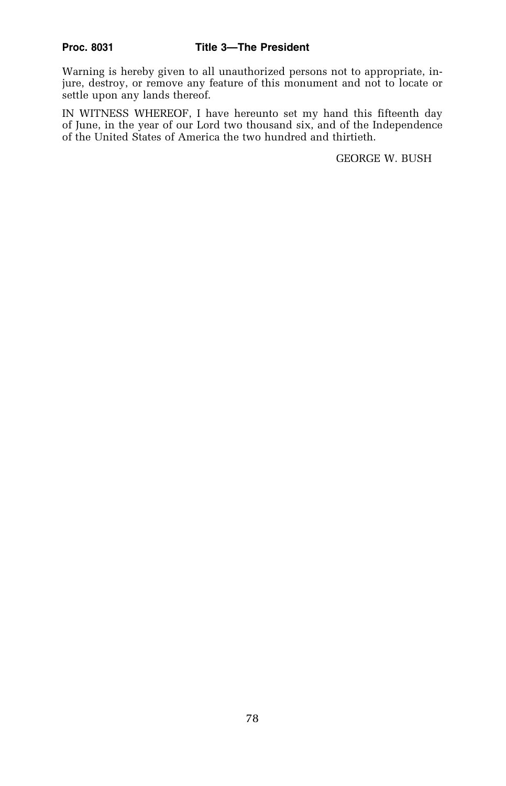Warning is hereby given to all unauthorized persons not to appropriate, injure, destroy, or remove any feature of this monument and not to locate or settle upon any lands thereof.

IN WITNESS WHEREOF, I have hereunto set my hand this fifteenth day of June, in the year of our Lord two thousand six, and of the Independence of the United States of America the two hundred and thirtieth.

GEORGE W. BUSH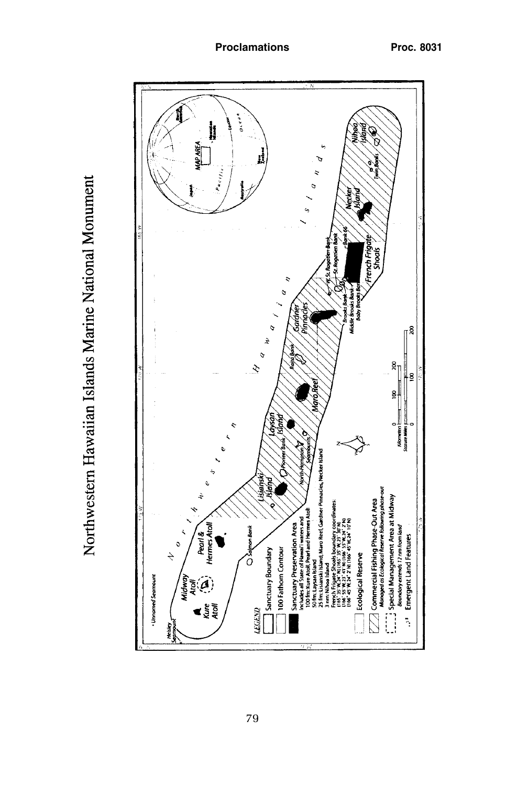Northwestern Hawaiian Islands Marine National Monument

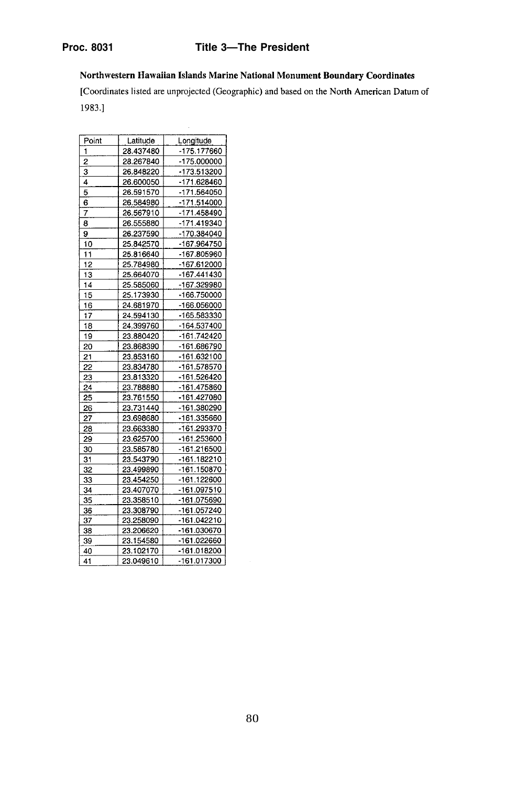# **Proc. 8031 Title 3—The President**

Northwestern Hawaiian Islands Marine National Monument Boundary Coordinates

l,

[Coordinates listed are unprojected (Geographic) and based on the North American Datum of 1983.]

| Point<br>Latitude | Longitude   |
|-------------------|-------------|
| 1<br>28.437480    | -175.177660 |
| 2<br>28.267840    | -175.000000 |
| 3<br>26.848220    | -173.513200 |
| 4<br>26.600050    | -171.628460 |
| 5<br>26.591570    | -171.564050 |
| 6<br>26.584980    | -171.514000 |
| 7<br>26.567910    | -171.458490 |
| 26.555880<br>8    | -171.419340 |
| 9<br>26.237590    | -170.384040 |
| 10<br>25.842570   | -167.964750 |
| 11<br>25.816640   | -167.805960 |
| 12<br>25.784980   | -167.612000 |
| 13<br>25.664070   | -167.441430 |
| 14<br>25.585060   | -167.329980 |
| 15<br>25.173930   | -166.750000 |
| 24.681970<br>16   | -166.056000 |
| 17<br>24.594130   | -165.583330 |
| 18<br>24.399760   | -164.537400 |
| 19<br>23.880420   | -161.742420 |
| 23.868390<br>20   | -161.686790 |
| 21<br>23.853160   | -161.632100 |
| 22<br>23.834780   | -161.578570 |
| 23<br>23.813320   | -161.526420 |
| 24<br>23.788880   | -161.475860 |
| 25<br>23.761550   | -161.427080 |
| 23.731440<br>26   | -161.380290 |
| 27<br>23.698680   | -161.335660 |
| 23.663380<br>28   | -161.293370 |
| 29<br>23.625700   | -161.253600 |
| 23.585780<br>30   | -161.216500 |
| 23.543790<br>31   | -161.182210 |
| 23.499890<br>32   | -161.150870 |
| 33<br>23.454250   | -161.122600 |
| 34<br>23.407070   | -161.097510 |
| 35<br>23.358510   | -161.075690 |
| 23.308790<br>36   | -161.057240 |
| 37<br>23.258090   | -161.042210 |
| 23.206620<br>38   | -161.030670 |
| 39<br>23.154580   | -161.022660 |
| 23.102170<br>40   | -161.018200 |
| 41<br>23.049610   | -161.017300 |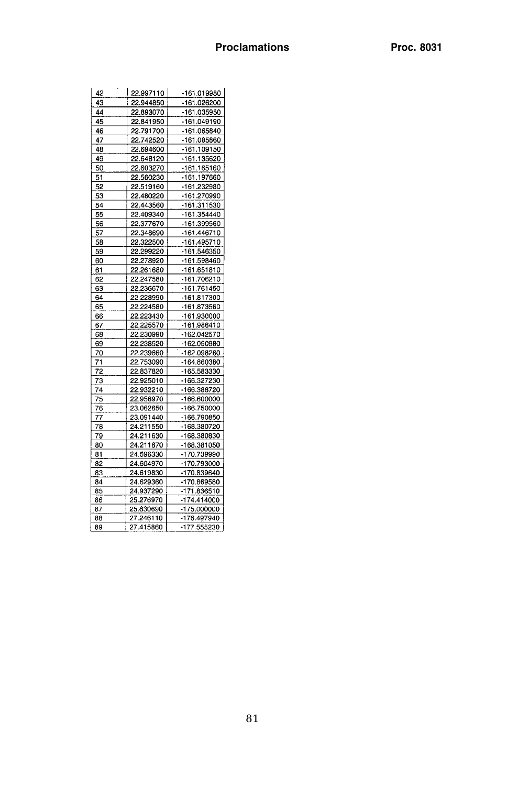| 42 | 22.997110 | -161.019980 |
|----|-----------|-------------|
| 43 | 22.944850 | -161.026200 |
| 44 | 22.893070 | -161.035950 |
| 45 | 22.841950 | -161.049190 |
| 46 | 22.791700 | -161.065840 |
| 47 | 22.742520 | -161.085860 |
| 48 | 22.694600 | -161.109150 |
| 49 | 22.648120 | -161.135620 |
| 50 | 22.603270 | -161.165160 |
| 51 | 22.560230 | -161.197660 |
| 52 | 22.519160 | -161.232980 |
| 53 | 22.480220 | -161.270990 |
| 54 | 22.443560 | -161.311530 |
| 55 | 22.409340 | -161.354440 |
| 56 | 22.377670 | -161.399560 |
| 57 | 22.348690 | -161.446710 |
| 58 | 22.322500 | -161.495710 |
| 59 | 22.299220 | -161.546350 |
| 60 | 22.278920 | -161.598460 |
| 61 | 22.261680 | -161.651810 |
| 62 | 22.247580 | -161.706210 |
| 63 | 22.236670 | -161.761450 |
| 64 | 22.228990 | 161.817300  |
| 65 | 22.224580 | -161.873560 |
| 66 | 22.223430 | -161.930000 |
| 67 | 22.225570 | -161.986410 |
| 68 | 22.230990 | -162.042570 |
| 69 | 22.238520 | -162.090980 |
| 70 | 22.239660 | -162.098260 |
| 71 | 22.753090 | -164.860380 |
| 72 | 22.837820 | -165.583330 |
| 73 | 22.925010 | -166.327230 |
| 74 | 22.932210 | -166.388720 |
| 75 | 22.956970 | -166.600000 |
| 76 | 23.062650 | -166.750000 |
| 77 | 23.091440 | -166.790850 |
| 78 | 24.211550 | -168.380720 |
| 79 | 24.211630 | -168.380830 |
| 80 | 24.211670 | -168.381050 |
| 81 | 24.596330 | -170.739990 |
| 82 | 24.604970 | -170.793000 |
| 83 | 24.619830 | -170.839640 |
| 84 | 24.629360 | -170.869580 |
| 85 | 24.937290 | -171.836510 |
| 86 | 25.276970 | -174.414000 |
| 87 | 25.830690 | -175.000000 |
| 88 | 27.246110 | -176.497940 |
| 89 | 27.415860 | -177.555230 |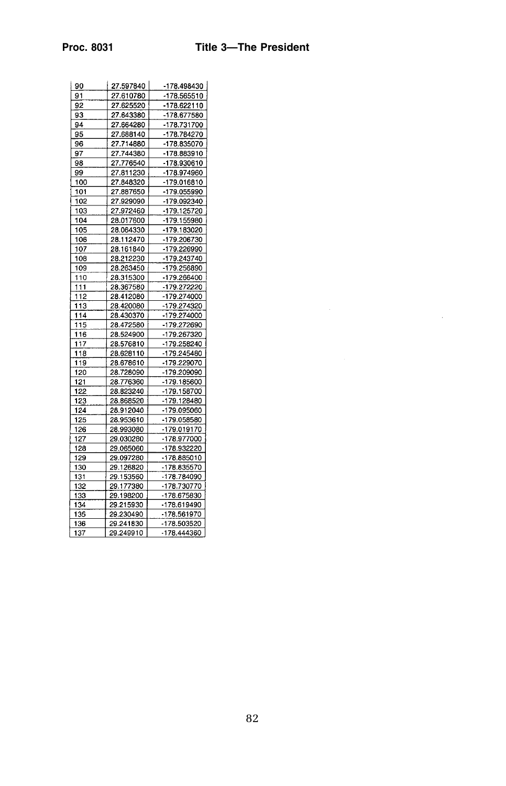| 90  | 27.597840 | -178.498430 |
|-----|-----------|-------------|
| 91  | 27.610780 | -178.565510 |
| 92  | 27.625520 | -178.622110 |
| 93  | 27.643380 | -178.677580 |
| 94  | 27.664280 | -178.731700 |
| 95  | 27.688140 | -178.784270 |
| 96  | 27.714880 | -178.835070 |
| 97  | 27.744380 | -178.883910 |
| 98  | 27.776540 | -178.930610 |
| 99  | 27.811230 | -178.974960 |
| 100 | 27.848320 | -179.016810 |
| 101 | 27.887650 | -179.055990 |
| 102 | 27.929090 | -179.092340 |
| 103 | 27.972460 | -179.125720 |
| 104 | 28.017600 | -179.155980 |
| 105 | 28.064330 | -179.183020 |
| 106 | 28.112470 | -179.206730 |
| 107 | 28.161840 | -179.226990 |
| 108 | 28.212230 | -179.243740 |
| 109 | 28.263450 | -179.256890 |
| 110 | 28.315300 | -179.266400 |
| 111 | 28.367580 | 179 272220  |
| 112 | 28.412080 | -179.274000 |
| 113 | 28.420080 | -179.274320 |
| 114 | 28.430370 | -179.274000 |
| 115 | 28.472580 | -179.272690 |
| 116 | 28.524900 | -179.267320 |
| 117 | 28.576810 | -179.258240 |
| 118 | 28.628110 | -179.245480 |
| 119 | 28.678610 | -179.229070 |
| 120 | 28.728090 | -179.209090 |
| 121 | 28.776360 | -179.185600 |
| 122 | 28.823240 | -179.158700 |
| 123 | 28.868520 | -179.128480 |
| 124 | 28.912040 | -179.095060 |
| 125 | 28.953610 | -179.058580 |
| 126 | 28.993080 | -179.019170 |
| 127 | 29.030280 | -178.977000 |
| 128 | 29.065060 | -178.932220 |
| 129 | 29.097280 | -178.885010 |
| 130 | 29.126820 | -178.835570 |
| 131 | 29.153560 | -178.784090 |
| 132 | 29.177380 | -178.730770 |
| 133 | 29.198200 | -178.675830 |
| 134 | 29.215930 | -178.619490 |
| 135 | 29.230490 | -178.561970 |
| 136 | 29.241830 | -178.503520 |
| 137 | 29.249910 | -178.444360 |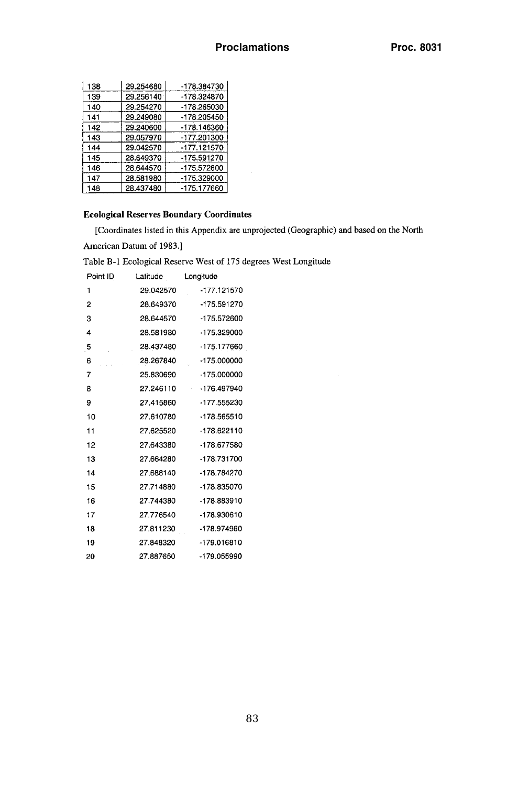| 138 | 29.254680 | -178.384730   |
|-----|-----------|---------------|
| 139 | 29.256140 | -178.324870   |
| 140 | 29.254270 | -178.265030   |
| 141 | 29.249080 | -178.205450   |
| 142 | 29.240600 | -178.146360   |
| 143 | 29.057970 | -177.201300   |
| 144 | 29.042570 | -177.121570   |
| 145 | 28.649370 | $-175.591270$ |
| 146 | 28.644570 | -175.572600   |
| 147 | 28.581980 | -175.329000   |
| 148 | 28.437480 | $-175.177660$ |

## **Ecological Reserves Boundary Coordinates**

[Coordinates listed in this Appendix are unprojected (Geographic) and based on the North

American Datum of 1983.]

Table B-1 Ecological Reserve West of 175 degrees West Longitude

| Point ID | Latitude  | Longitude     |
|----------|-----------|---------------|
| 1        | 29.042570 | -177.121570   |
| 2        | 28.649370 | -175.591270   |
| 3        | 28.644570 | -175.572600   |
| 4        | 28.581980 | -175.329000   |
| -5       | 28.437480 | -175.177660   |
| 6        | 28.267840 | -175.000000   |
| 7        | 25.830690 | -175.000000   |
| 8        | 27.246110 | $-176.497940$ |
| 9        | 27.415860 | -177.555230   |
| 10       | 27.610780 | -178.565510   |
| 11       | 27.625520 | $-178.622110$ |
| 12       | 27.643380 | -178.677580   |
| 13       | 27.664280 | -178.731700   |
| 14       | 27.688140 | -178.784270   |
| 15       | 27.714880 | -178.835070   |
| 16       | 27.744380 | -178.883910   |
| 17       | 27.776540 | -178.930610   |
| 18       | 27.811230 | -178.974960   |
| 19       | 27.848320 | -179.016810   |
| 20       | 27.887650 | -179.055990   |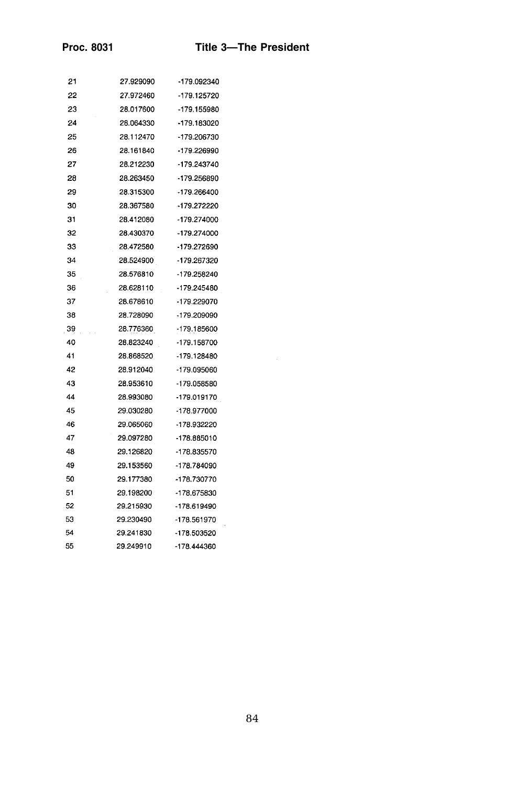| 21 | 27.929090 | -179.092340   |
|----|-----------|---------------|
| 22 | 27.972460 | -179.125720   |
| 23 | 28.017600 | -179.155980   |
| 24 | 28.064330 | -179.183020   |
| 25 | 28.112470 | -179.206730   |
| 26 | 28.161840 | -179.226990   |
| 27 | 28.212230 | -179.243740   |
| 28 | 28.263450 | -179.256890   |
| 29 | 28.315300 | $-179.266400$ |
| 30 | 28.367580 | -179.272220   |
| 31 | 28.412080 | -179.274000   |
| 32 | 28.430370 | -179.274000   |
| 33 | 28.472580 | -179.272690   |
| 34 | 28.524900 | -179.267320   |
| 35 | 28.576810 | -179.258240   |
| 36 | 28.628110 | -179.245480   |
| 37 | 28.678610 | -179.229070   |
| 38 | 28,728090 | -179.209090   |
| 39 | 28,776360 | -179.185600   |
| 40 | 28.823240 | -179.158700   |
| 41 | 28.868520 | -179.128480   |
| 42 | 28.912040 | -179.095060   |
| 43 | 28.953610 | -179.058580   |
| 44 | 28.993080 | -179.019170   |
| 45 | 29.030280 | -178.977000   |
| 46 | 29.065060 | -178.932220   |
| 47 | 29.097280 | -178.885010   |
| 48 | 29.126820 | -178.835570   |
| 49 | 29.153560 | -178.784090   |
| 50 | 29.177380 | -178.730770   |
| 51 | 29.198200 | -178.675830   |
| 52 | 29.215930 | -178.619490   |
| 53 | 29.230490 | -178.561970   |
| 54 | 29.241830 | -178.503520   |
| 55 | 29.249910 | -178.444360   |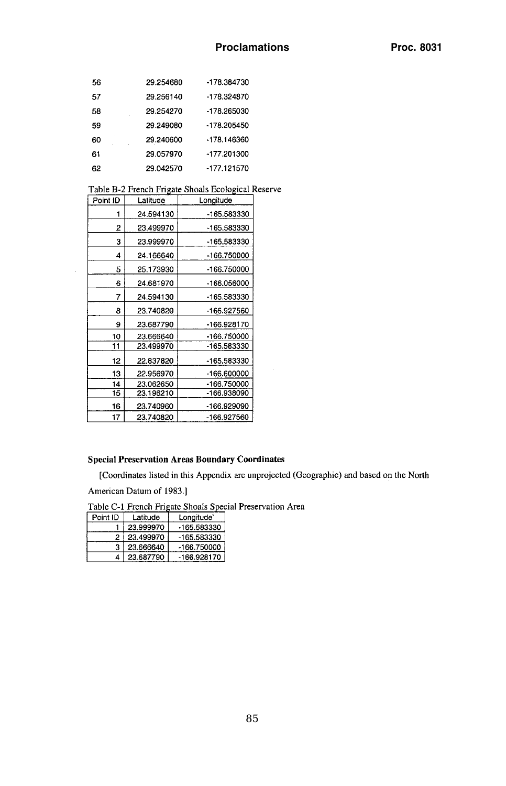| 56 | 29.254680 | -178.384730 |
|----|-----------|-------------|
| 57 | 29.256140 | -178.324870 |
| 58 | 29.254270 | -178.265030 |
| 59 | 29.249080 | -178.205450 |
| 60 | 29.240600 | -178.146360 |
| 61 | 29.057970 | -177.201300 |
| 62 | 29.042570 | -177.121570 |

Table B-2 French Frigate Shoals Ecological Reserve

| Point ID | Latitude  | Longitude   |
|----------|-----------|-------------|
| 1        | 24.594130 | -165.583330 |
| 2        | 23.499970 | -165.583330 |
| 3        | 23.999970 | -165.583330 |
| 4        | 24.166640 | -166.750000 |
| 5        | 25.173930 | -166.750000 |
| 6        | 24.681970 | -166.056000 |
| 7        | 24.594130 | -165.583330 |
| 8        | 23.740820 | -166.927560 |
| 9        | 23.687790 | -166.928170 |
| 10       | 23.666640 | -166.750000 |
| 11       | 23,499970 | -165.583330 |
| 12       | 22.837820 | -165.583330 |
| 13       | 22.956970 | -166.600000 |
| 14       | 23.062650 | -166.750000 |
| 15       | 23.196210 | -166.938090 |
| 16       | 23.740960 | -166.929090 |
| 17       | 23.740820 | -166.927560 |

#### **Special Preservation Areas Boundary Coordinates**

[Coordinates listed in this Appendix are unprojected (Geographic) and based on the North American Datum of 1983.]

Table C-1 French Frigate Shoals Special Preservation Area<br>Point ID Latitude Longitude

|    | 23.999970     | -165.583330 |
|----|---------------|-------------|
|    | 2   23.499970 | -165.583330 |
|    | 23.666640     | -166.750000 |
| 41 | 23.687790     | -166.928170 |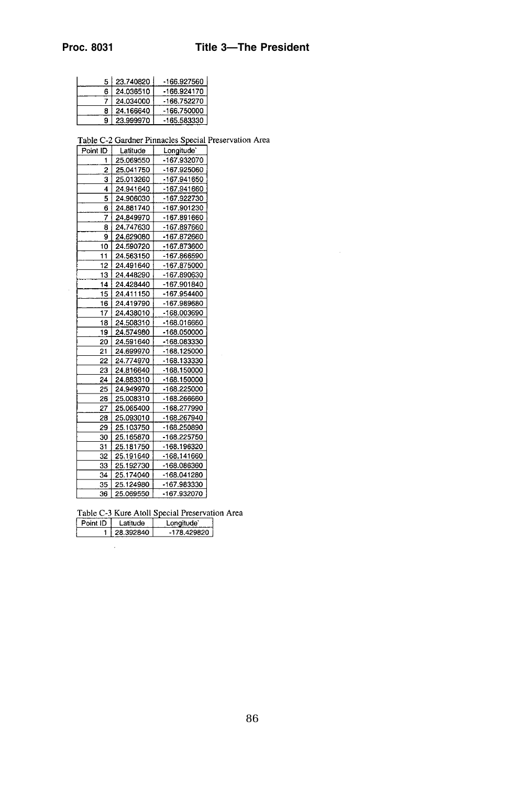## **Proc. 8031 Title 3—The President**

|    | 5 23.740820 | -166.927560 |
|----|-------------|-------------|
| 6. | 24.036510   | -166.924170 |
|    | 24.034000   | -166.752270 |
|    | 24.166640   | -166.750000 |
|    | 23.999970   | -165.583330 |

Table C-2 Gardner Pinnacles Special Preservation Area

| Point ID | Latitude  | Longitude'  |
|----------|-----------|-------------|
|          | 25.069550 | -167.932070 |
| 2        | 25.041750 | -167.925060 |
| 3        | 25.013260 | -167.941650 |
| 4        | 24.941640 | -167.941660 |
| 5        | 24.906030 | -167.922730 |
| 6        | 24.881740 | -167.901230 |
| 7        | 24.849970 | -167.891660 |
| 8        | 24.747630 | -167.897660 |
| 9        | 24.629080 | -167.872660 |
| 10       | 24.590720 | -167.873600 |
| 11       | 24.563150 | -167.866590 |
| 12       | 24.491640 | -167.875000 |
| 13       | 24.448290 | -167.890630 |
| 14       | 24.428440 | -167.901840 |
| 15       | 24.411150 | -167.954400 |
| 16       | 24.419790 | -167.989680 |
| 17       | 24.438010 | -168.003690 |
| 18       | 24.508310 | -168.016660 |
| 19       | 24.574980 | -168.050000 |
| 20       | 24.591640 | -168.083330 |
| 21       | 24.699970 | -168.125000 |
| 22       | 24.774970 | -168.133330 |
| 23       | 24.816640 | -168.150000 |
| 24       | 24.883310 | -168.150000 |
| 25       | 24.949970 | -168.225000 |
| 26       | 25.008310 | -168.266660 |
| 27       | 25.065400 | -168.277990 |
| 28       | 25.093010 | -168.267940 |
| 29       | 25.103750 | -168.250890 |
| 30       | 25.165870 | -168.225750 |
| 31       | 25.181750 | -168.196320 |
| 32       | 25.191640 | -168.141660 |
| 33       | 25.192730 | -168.086360 |
| 34       | 25.174040 | -168.041280 |
| 35       | 25.124980 | -167.983330 |
| 36       | 25.069550 | -167.932070 |

Table C-3 Kure Atoll Special Preservation Area

| 1.28.392840<br>$-178.429820$ |  |
|------------------------------|--|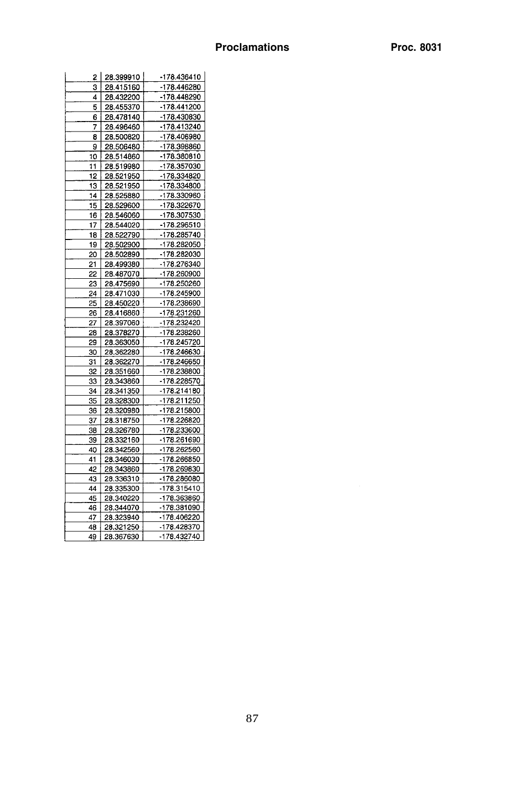| 2 I | 28.399910 | -178.436410 |
|-----|-----------|-------------|
| 3   | 28.415160 | -178.446280 |
| 4   | 28.432200 | -178.448290 |
| 5   | 28.455370 | -178.441200 |
| 6   | 28.478140 | -178.430830 |
| 7   | 28.496460 | -178.413240 |
| 8   | 28.500820 | -178.406980 |
| 9   | 28.506480 | -178 398860 |
| 10  | 28.514860 | -178.380810 |
| 11  | 28.519980 | -178.357030 |
| 12  | 28.521950 | -178.334820 |
| 13  | 28.521950 | -178.334800 |
| 14  | 28.525880 | -178.330960 |
| 15  | 28.529600 | -178.322670 |
| 16  | 28.546060 | -178.307530 |
| 17  | 28.544020 | -178.296510 |
| 18  | 28.522790 | -178.285740 |
| 19  | 28.502900 | -178.282050 |
| 20  | 28.502890 | -178.282030 |
| 21  | 28.499380 | 178.276340  |
| 22  | 28.487070 | -178.260900 |
| 23  | 28.475690 | -178.250260 |
| 24  | 28.471030 | -178.245900 |
| 25  | 28.450220 | -178.238690 |
| 26  | 28.416860 | -178.231260 |
| 27  | 28.397060 | -178.232420 |
| 28  | 28.378270 | -178.238260 |
| 29  | 28.363050 | -178.245720 |
| 30  | 28.362280 | -178.246630 |
| 31  | 28.362270 | -178.246650 |
| 32  | 28.351660 | -178.238800 |
| 33  | 28.343860 | -178.228570 |
| 34  | 28.341350 | -178.214180 |
| 35  | 28.328300 | -178.211250 |
| 36  | 28.320980 | -178.215800 |
| 37  | 28.318750 | -178.226820 |
| 38  | 28.326780 | -178.233600 |
| 39  | 28.332160 | -178.261690 |
| 40  | 28.342560 | -178.262560 |
| 41  | 28.346030 | -178.266850 |
| 42  | 28.343860 | -178.269830 |
| 43  | 28.336310 | -178.286080 |
| 44  | 28 335300 | -178.315410 |
| 45  | 28.340220 | -178.363860 |
| 46  | 28.344070 | -178.381090 |
| 47  | 28.323940 | -178.406220 |
| 48  | 28.321250 | -178.428370 |
| 49  | 28.367630 | -178.432740 |
|     |           |             |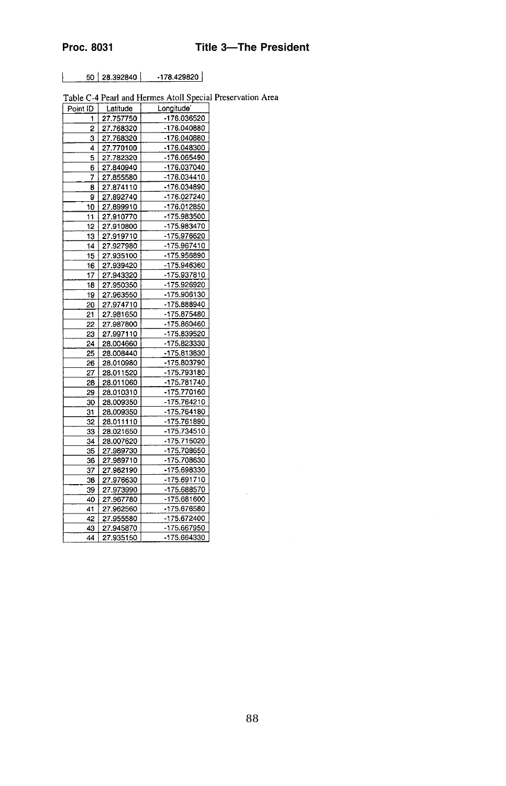$50 | 28.392840 | -178.429820$ 

Table C-4 Pearl and Hermes Atoll Special Preservation Area

| Point ID | Latitude  | Longitude <sup>-</sup> |
|----------|-----------|------------------------|
| 1        | 27.757750 | -176.036520            |
| 2        | 27.768320 | -176.040880            |
| 3        | 27.768320 | -176.040880            |
| 4        | 27.770100 | -176.048300            |
| 5        | 27.782320 | -176.065490            |
| 6        | 27.840940 | -176.037040            |
| 7        | 27.855580 | -176.034410            |
| 8        | 27.874110 | -176.034890            |
| 9        | 27.892740 | -176.027240            |
| 10       | 27.899910 | -176.012850            |
| 11       | 27.910770 | -175.983500            |
| 12       | 27.910800 | -175.983470            |
| 13       | 27.919710 | -175.976620            |
| 14       | 27.927980 | -175.967410            |
| 15       | 27.935100 | -175.956890            |
| 16       | 27.939420 | -175.946360            |
| 17       | 27.943320 | -175.937810            |
| 18       | 27.950350 | -175.926920            |
| 19       | 27.963550 | -175.906130            |
| 20       | 27.974710 | -175.888940            |
| 21       | 27.981650 | -175.875480            |
| 22       | 27.987800 | -175.860460            |
| 23       | 27.997110 | -175.839520            |
| 24       | 28.004660 | -175.823330            |
| 25       | 28.008440 | -175.813830            |
| 26       | 28.010980 | -175.803790            |
| 27       | 28.011520 | -175.793180            |
| 28       | 28.011060 | -175.781740            |
| 29       | 28.010310 | -175.770160            |
| 30       | 28.009350 | -175.764210            |
| 31       | 28.009350 | -175.764180            |
| 32       | 28.011110 | -175.761890            |
| 33       | 28.021650 | -175.734510            |
| 34       | 28.007620 | -175.715020            |
| 35       | 27.989730 | -175.708650            |
| 36       | 27.989710 | -175.708630            |
| 37       | 27.982190 | -175.698330            |
| 38       | 27.976630 | -175.691710            |
| 39       | 27.973990 | -175.688570            |
| 40       | 27.967780 | -175.681600            |
| 41       | 27.962560 | -175.676580            |
| 42       | 27.955580 | -175.672400            |
| 43       | 27.945870 | -175.667950            |
| 44       | 27.935150 | -175.664330            |

 $\bar{\psi}$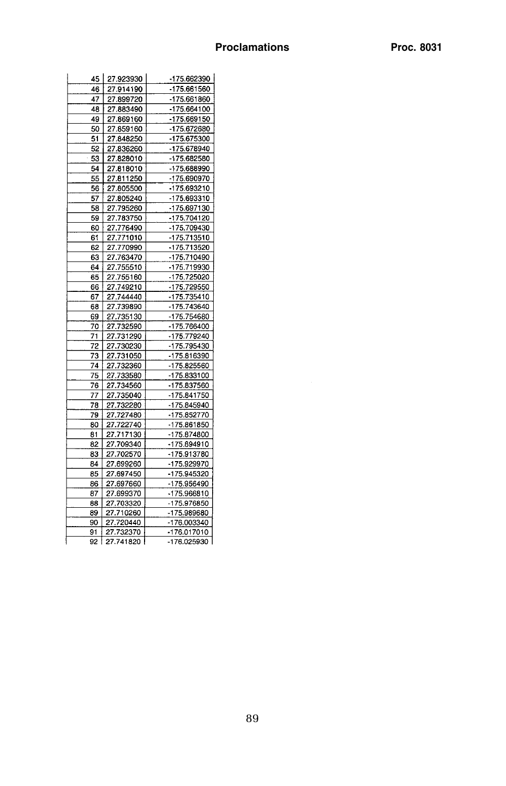| 45    | 27.923930 | -175.662390 |
|-------|-----------|-------------|
| 46    | 27.914190 | -175.661560 |
| 47    | 27.899720 | -175.661860 |
| 48    | 27.883490 | -175.664100 |
| 49    | 27.869160 | -175.669150 |
| 50    | 27.859160 | -175.672680 |
| 51    | 27.848250 | -175.675300 |
| 52    | 27.836260 | -175.678940 |
| $-53$ | 27.828010 | -175.682580 |
| 54    | 27.818010 | -175.688990 |
| 55    | 27.811250 | -175.690970 |
| 56    | 27.805500 | -175.693210 |
| 57    | 27.805240 | -175.693310 |
| 58    | 27.795260 | -175.697130 |
| 59    | 27.783750 | 175.704120  |
| 60    | 27.776490 | -175.709430 |
| 61    | 27.771010 | -175.713510 |
| 62    | 27.770990 | -175.713520 |
| 63    | 27.763470 | -175.710490 |
| 64    | 27.755510 | -175.719930 |
| 65    | 27.755160 | -175.725020 |
| 66    | 27.749210 | -175.729550 |
| 67    | 27.744440 | -175.735410 |
| 68    | 27.739890 | -175.743640 |
| 69    | 27.735130 | -175.754680 |
| 70    | 27.732590 | -175.766400 |
| 71    | 27.731290 | -175.779240 |
| 72    | 27.730230 | -175.795430 |
| 73    | 27.731050 | -175.816390 |
| 74    | 27.732360 | -175.825560 |
| 75    | 27.733580 | -175.833100 |
| 76    | 27.734560 | -175.837560 |
| 77    | 27.735040 | -175.841750 |
| 78    | 27.732280 | -175.845940 |
| 79    | 27.727480 | -175.852770 |
| 80    | 27.722740 | -175.861850 |
| 81    | 27.717130 | -175.874800 |
| 82    | 27.709340 | -175.894910 |
| 83    | 27.702570 | -175.913780 |
| 84    | 27.699260 | -175.929970 |
| 85    | 27.697450 | -175.945320 |
| 86    | 27.697660 | -175.956490 |
| 87    | 27.699370 | -175.966810 |
| 88    | 27.703320 | -175.976850 |
| 89    | 27.710260 | -175.989680 |
| 90    | 27.720440 | -176.003340 |
| 91    | 27.732370 | -176.017010 |
| 92    | 27.741820 | -176.025930 |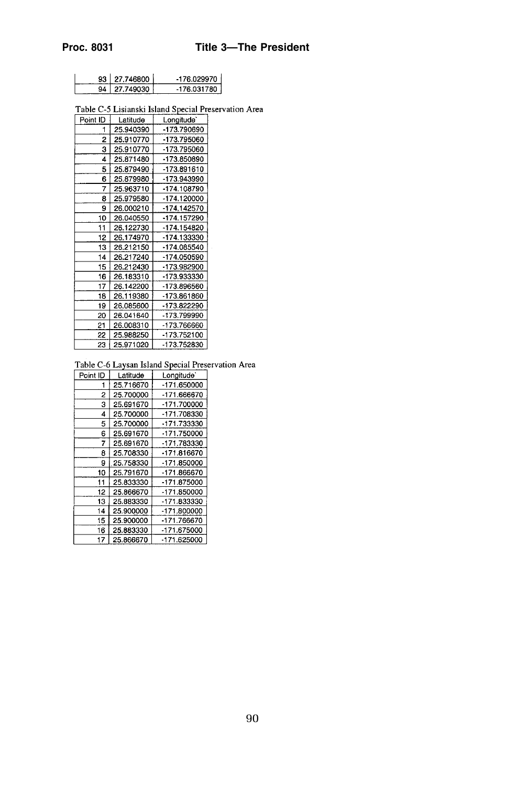|  | 93   27.746800 | -176.029970  |
|--|----------------|--------------|
|  | 94   27.749030 | -176.031780. |

Table C-5 Lisianski Island Special Preservation Area

| Point ID | Latitude  | Longitude`  |
|----------|-----------|-------------|
| 1        | 25.940390 | -173.790690 |
| 2        | 25.910770 | -173.795060 |
| 3        | 25.910770 | -173.795060 |
| 4        | 25.871480 | -173.850890 |
| 5        | 25.879490 | -173.891610 |
| 6        | 25.879980 | -173.943990 |
| 7        | 25.963710 | -174.108790 |
| 8        | 25.979580 | -174.120000 |
| 9        | 26.000210 | -174.142570 |
| 10       | 26.040550 | -174.157290 |
| 11       | 26.122730 | -174.154820 |
| 12       | 26.174970 | -174.133330 |
| 13       | 26.212150 | -174.085540 |
| 14       | 26.217240 | -174.050590 |
| 15       | 26.212430 | -173.982900 |
| 16       | 26.183310 | -173.933330 |
| 17       | 26.142200 | -173.896560 |
| 18       | 26.119380 | -173.861860 |
| 19       | 26.085600 | -173.822290 |
| 20       | 26.041640 | -173.799990 |
| 21       | 26.008310 | -173.766660 |
| 22       | 25.988250 | -173.752100 |
| 23       | 25.971020 | -173.752830 |

Table C-6 Laysan Island Special Preservation Area

| Point ID | Latitude  | Longitude'  |
|----------|-----------|-------------|
| 1        | 25.716670 | -171.650000 |
| 2        | 25.700000 | -171.666670 |
| 3        | 25.691670 | -171.700000 |
| 4        | 25.700000 | -171.708330 |
| 5        | 25.700000 | -171.733330 |
| 6        | 25.691670 | -171.750000 |
| 7        | 25.691670 | -171.783330 |
| 8        | 25.708330 | -171.816670 |
| 9        | 25.758330 | -171.850000 |
| 10       | 25.791670 | -171.866670 |
| 11       | 25.833330 | -171.875000 |
| 12       | 25.866670 | -171.850000 |
| 13       | 25.883330 | -171.833330 |
| 14       | 25.900000 | -171.800000 |
| 15       | 25.900000 | -171.766670 |
| 16       | 25.883330 | -171.675000 |
| 17       | 25.866670 | -171.625000 |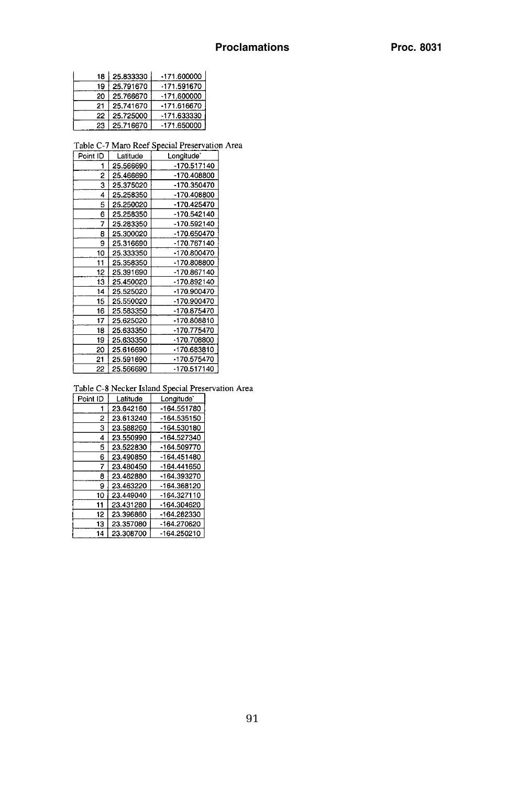|    | 18 25.833330 | -171.600000   |
|----|--------------|---------------|
| 19 | 25.791670    | -171.591670   |
| 20 | 25.766670    | -171.600000   |
| 21 | 25.741670    | -171.616670   |
| 22 | 25.725000    | -171.633330 i |
| 23 | 25.716670    | $-171.650000$ |

Table C-7 Maro Reef Special Preservation Area

| Point ID | Latitude  | Longitude <sup>*</sup> |
|----------|-----------|------------------------|
| 1        | 25.566690 | -170.517140            |
| 2        | 25.466690 | -170.408800            |
| 3        | 25.375020 | -170.350470            |
| 4        | 25.258350 | -170.408800            |
| 5        | 25.250020 | $-170.425470$          |
| 6        | 25.258350 | -170.542140            |
| 7        | 25.283350 | -170.592140            |
| 8        | 25.300020 | -170.650470            |
| 9        | 25.316690 | -170.767140            |
| 10       | 25.333350 | -170.800470            |
| 11       | 25.358350 | -170.808800            |
| 12       | 25.391690 | -170.867140            |
| 13       | 25.450020 | -170.892140            |
| 14       | 25.525020 | -170.900470            |
| 15       | 25.550020 | -170.900470            |
| 16       | 25.583350 | -170.875470            |
| 17       | 25.625020 | -170.808810            |
| 18       | 25.633350 | -170.775470            |
| 19       | 25.633350 | -170.708800            |
| 20       | 25.616690 | -170.683810            |
| 21       | 25.591690 | -170.575470            |
| 22       | 25.566690 | -170.517140            |

Table C-8 Necker Island Special Preservation Area

| Point ID | Latitude  | Longitude'  |
|----------|-----------|-------------|
|          | 23.642160 | -164.551780 |
| 2        | 23.613240 | -164.535150 |
| 3        | 23.588260 | -164.530180 |
| 4        | 23.550990 | -164.527340 |
| 5        | 23.522830 | -164.509770 |
| 6        | 23.490850 | -164.451480 |
| 7        | 23.480450 | -164.441650 |
| 8        | 23.462880 | -164.393270 |
| 9        | 23.463220 | -164.368120 |
| 10       | 23.449040 | -164.327110 |
| 11       | 23.431280 | -164.304620 |
| 12       | 23.396860 | -164.282330 |
| 13       | 23.357080 | -164.270620 |
| 14       | 23.308700 | -164.250210 |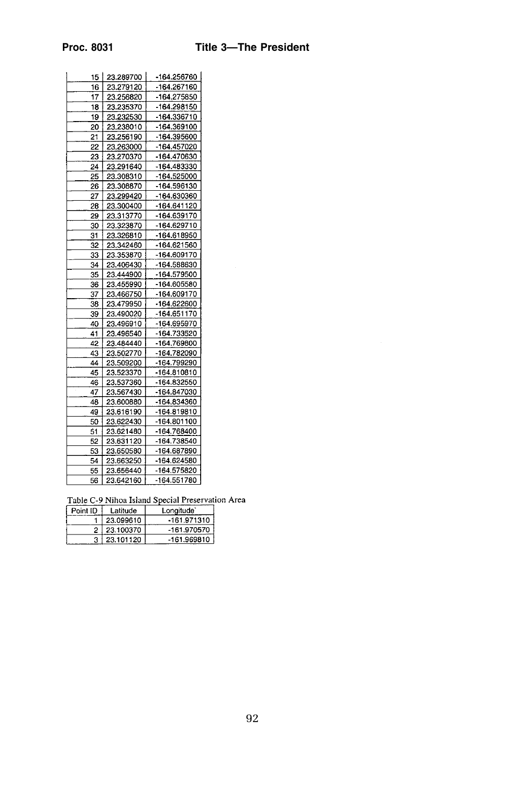| 15. | 23.289700 | -164.256760 |
|-----|-----------|-------------|
| 16  | 23.279120 | -164.267160 |
| 17  | 23.256820 | -164.275850 |
| 18  | 23.235370 | -164.298150 |
| 19  | 23.232530 | -164.336710 |
| 20  | 23.238010 | -164.369100 |
| 21  |           |             |
|     | 23.256190 | -164.395600 |
| 22  | 23.263000 | -164.457020 |
| 23  | 23.270370 | -164.470630 |
| 24  | 23.291640 | -164.483330 |
| 25  | 23.308310 | -164.525000 |
| 26  | 23.308870 | -164.596130 |
| 27  | 23.299420 | -164.630360 |
| 28  | 23.300400 | -164.641120 |
| 29  | 23.313770 | -164.639170 |
| 30  | 23.323870 | -164.629710 |
| 31  | 23.326810 | -164.618950 |
| 32  | 23.342460 | -164.621560 |
| 33  | 23.353870 | -164.609170 |
| 34  | 23.406430 | -164.588630 |
| 35  | 23.444900 | -164.579500 |
| 36  | 23.455990 | -164.605580 |
| 37  | 23.466750 | -164.609170 |
| 38  | 23.479950 | -164.622600 |
| 39  | 23.490020 | -164.651170 |
| 40  | 23.496910 | -164.695970 |
| 41  | 23.496540 | 164.733520  |
| 42  | 23.484440 | -164.769800 |
| 43  | 23.502770 | -164.782090 |
| 44  | 23.509200 | -164.799290 |
| 45  | 23.523370 | -164.810810 |
| 46  | 23.537360 | -164.832550 |
| 47  | 23.567430 | -164.847030 |
| 48  | 23.600880 | -164.834360 |
| 49  | 23.616190 | -164.819810 |
| 50  | 23.622430 | -164.801100 |
| 51  | 23.621480 | -164.768400 |
| 52  | 23.631120 | -164.738540 |
| 53  | 23.650580 | -164.687890 |
| 54  | 23.663250 | -164.624580 |
| 55  | 23.656440 | -164.575820 |
| 56  | 23.642160 | -164.551780 |
|     |           |             |

Table C-9 Nihoa Island Special Preservation Area

| Point ID | Latitude  | Longitude <sup>®</sup> |
|----------|-----------|------------------------|
|          | 23.099610 | -161.971310            |
|          | 23.100370 | -161.970570            |
|          | 23.101120 | -161.969810            |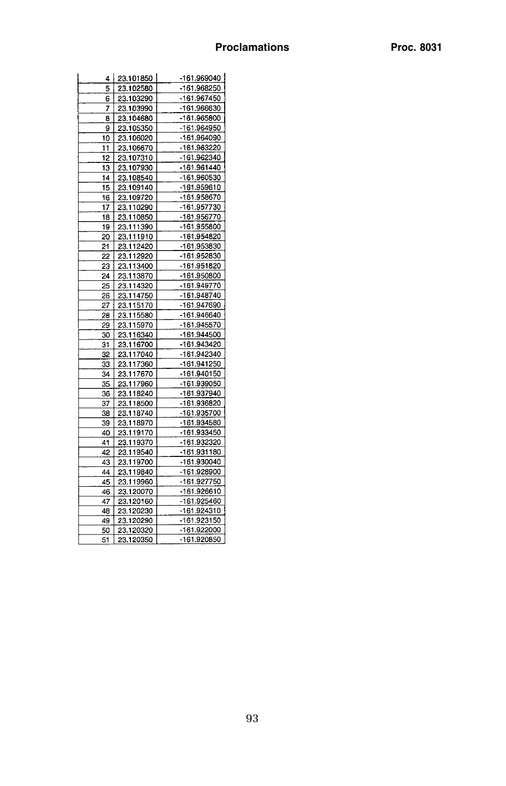| 4        | 23.101850              | -161.969040 |
|----------|------------------------|-------------|
| 5        | 23.102580              | -161.968250 |
| 6        | 23.103290              | -161.967450 |
| 7        | 23.103990              | -161.966630 |
| 8        | 23.104680              | -161.965800 |
| 9        | 23.105350              | -161.964950 |
|          |                        | -161.964090 |
| 10<br>11 | 23.106020<br>23.106670 | -161.963220 |
|          |                        |             |
| 12       | 23.107310              | -161.962340 |
| 13       | 23.107930              | -161.961440 |
| 14       | 23.108540              | -161.960530 |
| 15       | 23.109140              | -161.959610 |
| 16       | 23.109720              | -161.958670 |
| 17       | 23.110290              | -161.957730 |
| 18       | 23.110850              | -161.956770 |
| 19       | 23.111390              | -161.955800 |
| 20       | 23.111910              | -161.954820 |
| 21       | 23.112420              | -161.953830 |
| 22       | 23.112920              | -161.952830 |
| 23       | 23.113400              | -161.951820 |
| 24       | 23.113870              | -161.950800 |
| 25       | 23.114320              | -161.949770 |
| 26       | 23.114750              | -161.948740 |
| 27       | 23.115170              | -161.947690 |
| 28       | 23.115580              | -161.946640 |
| 29       | 23.115970              | -161.945570 |
| 30       | 23.116340              | -161.944500 |
| 31       | 23.116700              | -161.943420 |
| 32       | 23.117040              | -161.942340 |
| 33       | 23.117360              | -161.941250 |
| 34       | 23.117670              | -161.940150 |
| 35       | 23.117960              | -161 939050 |
| 36       | 23.118240              | -161.937940 |
| 37       | 23.118500              | -161.936820 |
| 38       | 23.118740              | -161.935700 |
| 39       | 23.118970              | -161.934580 |
| 40       | 23.119170              | -161.933450 |
| 41       | 23.119370              | -161.932320 |
| 42       | 23.119540              | -161.931180 |
| 43       | 23.119700              | -161.930040 |
| 44       | 23.119840              | -161.928900 |
| 45       | 23.119960              | -161.927750 |
| 46       | 23.120070              | -161.926610 |
| 47       | 23.120160              | -161.925460 |
| 48       | 23.120230              | -161.924310 |
| 49       | 23.120290              | -161.923150 |
| 50       | 23.120320              | -161.922000 |
|          |                        | -161.920850 |
| 51       | 23.120350              |             |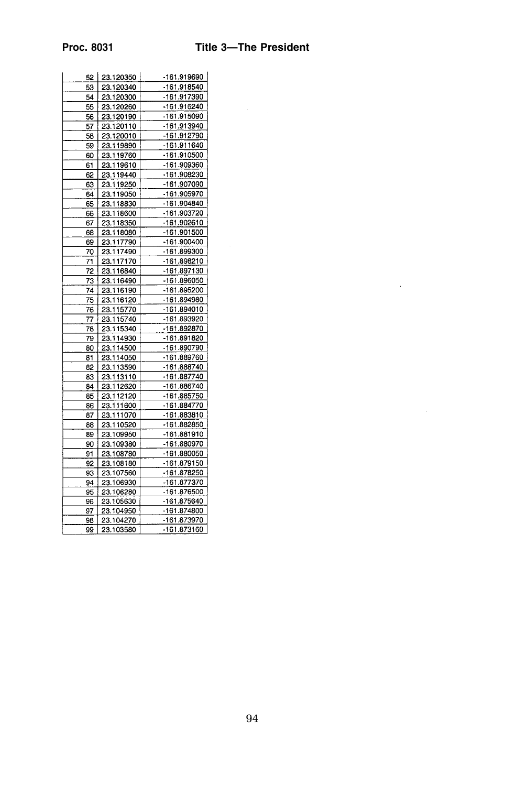$\sim 10^{-11}$ 

| 52 I | 23.120350 | -161.919690 |
|------|-----------|-------------|
| 53   | 23.120340 | -161.918540 |
| 54   | 23.120300 | -161.917390 |
| 55   | 23.120260 | -161.916240 |
| 56   | 23.120190 | -161.915090 |
| 57   | 23.120110 | -161.913940 |
| 58   | 23.120010 | -161.912790 |
| 59   | 23.119890 | -161.911640 |
| 60   | 23.119760 | -161.910500 |
| 61   | 23.119610 | -161.909360 |
| 62   | 23.119440 | -161.908230 |
| 63   | 23.119250 | -161.907090 |
| 64   | 23.119050 | -161.905970 |
| 65   | 23.118830 | -161.904840 |
| 66   | 23.118600 | -161.903720 |
| 67   | 23.118350 | -161.902610 |
| 68   | 23.118080 | -161.901500 |
| 69   | 23.117790 | -161.900400 |
| 70   | 23.117490 | -161.899300 |
| 71   | 23.117170 | -161.898210 |
| 72   | 23.116840 | -161.897130 |
| 73   | 23.116490 | -161.896050 |
| 74   | 23,116190 | -161.895200 |
| 75   | 23.116120 | -161.894980 |
| 76   | 23.115770 | -161.894010 |
| 77   | 23.115740 | -161.893920 |
| 78   | 23.115340 | -161.892870 |
| 79   | 23.114930 | -161.891820 |
| 80   | 23.114500 | -161.890790 |
| 81   | 23.114050 | -161.889760 |
| 82   | 23.113590 | -161.888740 |
| 83   | 23.113110 | -161.887740 |
| 84   | 23.112620 | -161.886740 |
| 85   | 23.112120 | -161.885750 |
| 86   | 23.111600 | -161.884770 |
| 87   | 23.111070 | -161.883810 |
| 88   | 23.110520 | -161.882850 |
| 89   | 23.109950 | -161.881910 |
| 90   | 23.109380 | -161.880970 |
| 91   | 23.108780 | -161.880050 |
| 92   | 23.108180 | -161.879150 |
| 93   | 23.107560 | -161.878250 |
| 94   | 23.106930 | -161.877370 |
| 95   | 23.106280 | -161.876500 |
| 96   | 23.105630 | -161.875640 |
| 97   | 23.104950 | -161.874800 |
| 98   | 23.104270 | -161.873970 |
| 99   | 23.103580 | -161.873160 |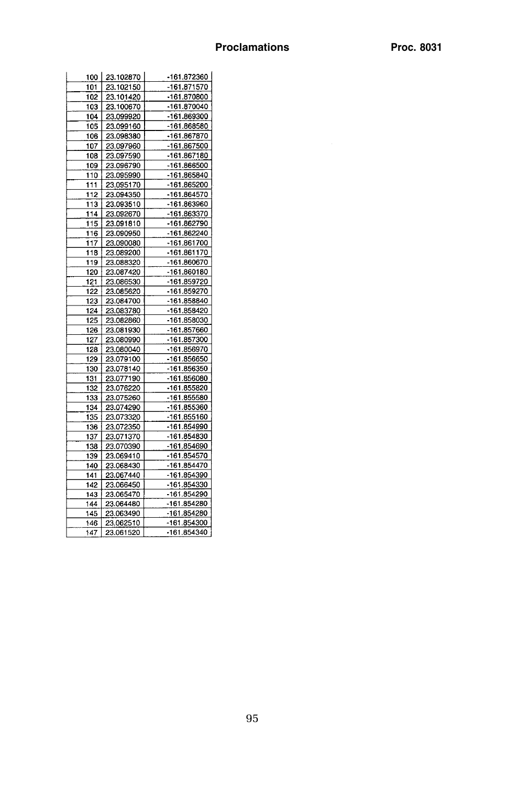| 100 | 23.102870 | -161 872360 |
|-----|-----------|-------------|
| 101 | 23.102150 | -161.871570 |
| 102 | 23.101420 | -161.870800 |
| 103 | 23.100670 | -161.870040 |
| 104 | 23.099920 | -161.869300 |
| 105 | 23.099160 | -161.868580 |
| 106 | 23.098380 | -161.867870 |
| 107 | 23.097960 | -161.867500 |
| 108 | 23.097590 | -161.867180 |
| 109 | 23.096790 | -161.866500 |
| 110 | 23.095990 | -161.865840 |
| 111 | 23.095170 | -161.865200 |
| 112 | 23.094350 | -161.864570 |
| 113 | 23.093510 | -161.863960 |
| 114 | 23.092670 | -161.863370 |
| 115 | 23.091810 | -161.862790 |
| 116 | 23.090950 | -161 862240 |
| 117 | 23.090080 | -161.861700 |
| 118 | 23.089200 | -161.861170 |
| 119 | 23.088320 | -161.860670 |
| 120 | 23.087420 | -161.860180 |
| 121 | 23.086530 | -161.859720 |
| 122 | 23.085620 | -161.859270 |
| 123 | 23.084700 | -161.858840 |
| 124 | 23.083780 | -161.858420 |
| 125 | 23.082860 | -161.858030 |
| 126 | 23.081930 | -161.857660 |
| 127 | 23.080990 | -161.857300 |
| 128 | 23.080040 | -161.856970 |
| 129 | 23.079100 | -161.856650 |
| 130 | 23.078140 | -161.856350 |
| 131 | 23.077190 | -161.856080 |
| 132 | 23.076220 | -161.855820 |
| 133 | 23.075260 | -161.855580 |
| 134 | 23.074290 | -161.855360 |
| 135 | 23.073320 | -161.855160 |
| 136 | 23.072350 | -161.854990 |
| 137 | 23.071370 | -161.854830 |
| 138 | 23.070390 | -161.854690 |
| 139 | 23.069410 | -161.854570 |
| 140 | 23.068430 | -161.854470 |
| 141 | 23.067440 | -161.854390 |
| 142 | 23.066450 | -161.854330 |
| 143 | 23.065470 | -161.854290 |
| 144 | 23.064480 | -161.854280 |
| 145 | 23.063490 | -161.854280 |
| 146 | 23.062510 | -161.854300 |
| 147 | 23.061520 | -161.854340 |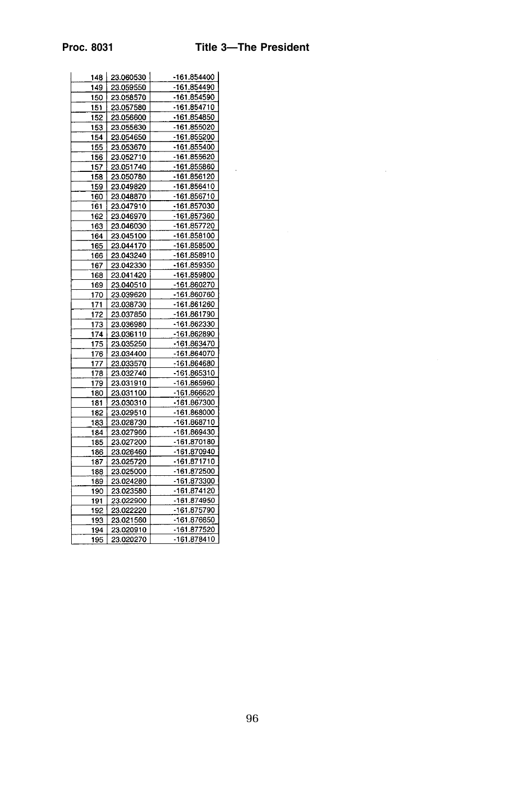$\Delta \phi$ 

| 148 | 23.060530 | -161.854400 |
|-----|-----------|-------------|
| 149 | 23.059550 | -161.854490 |
| 150 | 23.058570 | -161.854590 |
| 151 | 23.057580 | -161.854710 |
| 152 | 23.056600 | -161.854850 |
| 153 | 23.055630 | -161.855020 |
| 154 | 23.054650 | -161.855200 |
| 155 | 23.053670 | -161.855400 |
| 156 | 23.052710 | -161.855620 |
| 157 | 23.051740 | -161.855860 |
| 158 | 23.050780 | -161.856120 |
| 159 | 23.049820 | -161.856410 |
| 160 | 23.048870 | -161.856710 |
| 161 | 23.047910 | -161.857030 |
| 162 | 23.046970 | -161.857360 |
| 163 | 23.046030 | -161.857720 |
| 164 | 23.045100 | -161.858100 |
| 165 | 23.044170 | -161.858500 |
| 166 | 23.043240 | -161.858910 |
| 167 | 23.042330 | -161.859350 |
| 168 | 23.041420 | -161.859800 |
| 169 | 23.040510 | -161.860270 |
| 170 | 23.039620 | -161.860760 |
| 171 | 23.038730 | -161.861260 |
| 172 | 23.037850 | -161.861790 |
| 173 | 23.036980 | -161.862330 |
| 174 | 23.036110 | -161.862890 |
| 175 | 23.035250 | -161.863470 |
| 176 | 23.034400 | -161.864070 |
| 177 | 23.033570 | -161.864680 |
| 178 | 23.032740 | -161.865310 |
| 179 | 23.031910 | -161.865960 |
| 180 | 23.031100 | -161.866620 |
| 181 | 23.030310 | -161.867300 |
| 182 | 23.029510 | -161.868000 |
| 183 | 23.028730 | -161.868710 |
| 184 | 23.027960 | -161.869430 |
| 185 | 23.027200 | -161.870180 |
| 186 | 23.026460 | -161.870940 |
| 187 | 23.025720 | -161.871710 |
| 188 | 23.025000 | -161.872500 |
| 189 | 23.024280 | -161.873300 |
| 190 | 23.023580 | -161.874120 |
| 191 | 23.022900 | -161.874950 |
| 192 | 23.022220 | -161.875790 |
| 193 | 23.021560 | -161.876650 |
| 194 | 23.020910 | -161.877520 |
| 195 | 23.020270 | -161.878410 |
|     |           |             |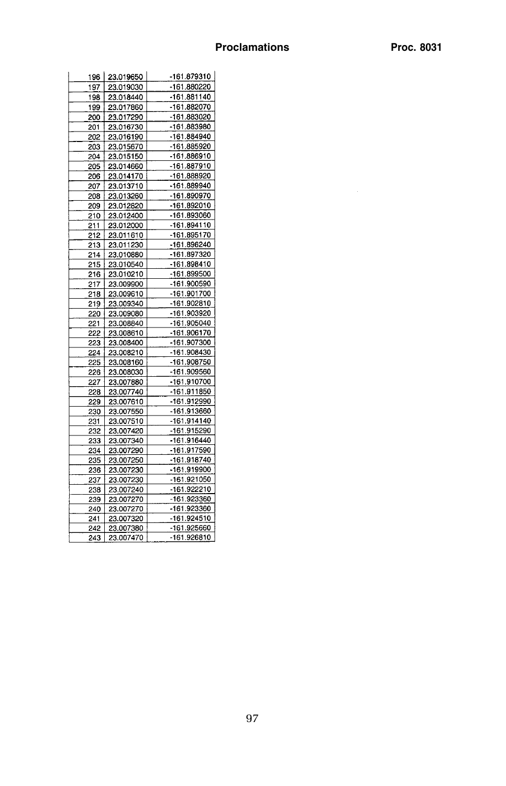| 196 I      | 23.019650 | -161.879310 |
|------------|-----------|-------------|
| 197        | 23.019030 | -161.880220 |
| 198        | 23.018440 | -161.881140 |
| 199        | 23.017860 | -161.882070 |
| 200        | 23.017290 | -161.883020 |
| 201        | 23.016730 | -161.883980 |
| 202        | 23.016190 | -161.884940 |
|            | 23.015670 | -161.885920 |
| 203<br>204 | 23.015150 | -161.886910 |
|            |           | -161.887910 |
| 205        | 23.014660 |             |
| 206        | 23.014170 | -161.888920 |
| 207        | 23.013710 | -161.889940 |
| 208        | 23.013260 | -161.890970 |
| 209        | 23.012820 | -161.892010 |
| 210        | 23.012400 | -161.893060 |
| 211        | 23.012000 | -161.894110 |
| 212        | 23.011610 | -161.895170 |
| 213        | 23.011230 | -161.896240 |
| 214        | 23.010880 | -161.897320 |
| 215        | 23.010540 | -161.898410 |
| 216        | 23.010210 | -161.899500 |
| 217        | 23.009900 | -161.900590 |
| 218        | 23.009610 | -161.901700 |
| 219        | 23.009340 | -161.902810 |
| 220        | 23.009080 | -161.903920 |
| 221        | 23.008840 | -161.905040 |
| 222        | 23.008610 | -161.906170 |
| 223        | 23.008400 | -161.907300 |
| 224        | 23.008210 | -161.908430 |
| 225        | 23.008160 | -161.908750 |
| 226        | 23.008030 | -161.909560 |
| 227        | 23.007880 | -161.910700 |
| 228        | 23.007740 | -161.911850 |
| 229        | 23.007610 | -161.912990 |
| 230        | 23.007550 | -161.913660 |
| 231        | 23.007510 | -161.914140 |
| 232        | 23.007420 | -161.915290 |
|            |           | -161.916440 |
| 233        | 23 007340 |             |
| 234        | 23.007290 | -161.917590 |
| 235        | 23.007250 | -161.918740 |
| 236        | 23.007230 | -161.919900 |
| 237        | 23.007230 | -161.921050 |
| 238        | 23.007240 | -161.922210 |
| 239        | 23.007270 | -161.923360 |
| 240        | 23.007270 | -161.923360 |
| 241        | 23.007320 | -161.924510 |
| 242        | 23.007380 | -161.925660 |
| 243        | 23.007470 | -161.926810 |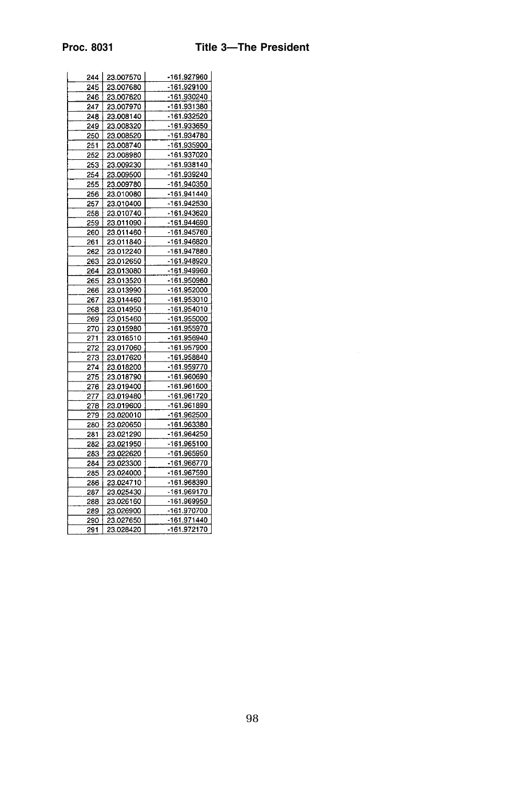| 245<br>23.007680<br>246<br>23.007820<br>247<br>23.007970 | -161.927960 |
|----------------------------------------------------------|-------------|
|                                                          | -161.929100 |
|                                                          | -161.930240 |
|                                                          | -161.931380 |
| 248<br>23.008140                                         | -161.932520 |
| 249<br>23.008320                                         | -161.933650 |
| 250<br>23.008520                                         | -161.934780 |
| 251<br>23.008740                                         | -161.935900 |
| 252<br>23.008980                                         | -161.937020 |
| 253<br>23.009230                                         | -161.938140 |
| 254<br>23.009500                                         | -161.939240 |
| 255<br>23.009780                                         | -161.940350 |
| 256<br>23.010080                                         | -161.941440 |
|                                                          | -161.942530 |
| 257<br>23.010400                                         |             |
| 258<br>23.010740                                         | -161.943620 |
| 259<br>23.011090                                         | -161.944690 |
| 260<br>23.011460                                         | -161.945760 |
| 261<br>23.011840                                         | -161.946820 |
| 23.012240<br>262                                         | -161.947880 |
| 263<br>23.012650                                         | -161.948920 |
| 23.013080<br>264                                         | -161.949960 |
| 265<br>23.013520                                         | -161.950980 |
| 23.013990<br>266                                         | -161.952000 |
| 267<br>23.014460                                         | -161.953010 |
| 268<br>23.014950                                         | -161.954010 |
| 269<br>23.015460                                         | -161.955000 |
| 270<br>23.015980                                         | -161.955970 |
| 271<br>23.016510                                         | -161.956940 |
| 272<br>23.017060                                         | -161.957900 |
| 273<br>23.017620                                         | -161.958840 |
| 274<br>23.018200                                         | -161.959770 |
| 275<br>23.018790                                         | -161.960690 |
|                                                          | -161.961600 |
| 276<br>23.019400                                         |             |
| 277<br>23.019480                                         | -161.961720 |
| 278<br>23.019600                                         | -161.961890 |
| 23.020010<br>279                                         | -161.962500 |
| 23.020650<br>280                                         | -161.963380 |
| 23.021290<br>281                                         | -161.964250 |
| 23.021950<br>282                                         | -161.965100 |
| 283<br>23.022620                                         | -161.965950 |
| 284<br>23.023300                                         | -161.966770 |
| 23.024000<br>285                                         | -161.967590 |
| 23.024710<br>286                                         | -161.968390 |
| 23.025430<br>287                                         | -161.969170 |
| 288<br>23.026160                                         | -161.969950 |
| 23.026900<br>289                                         | -161.970700 |
| 23.027650<br>290                                         | -161.971440 |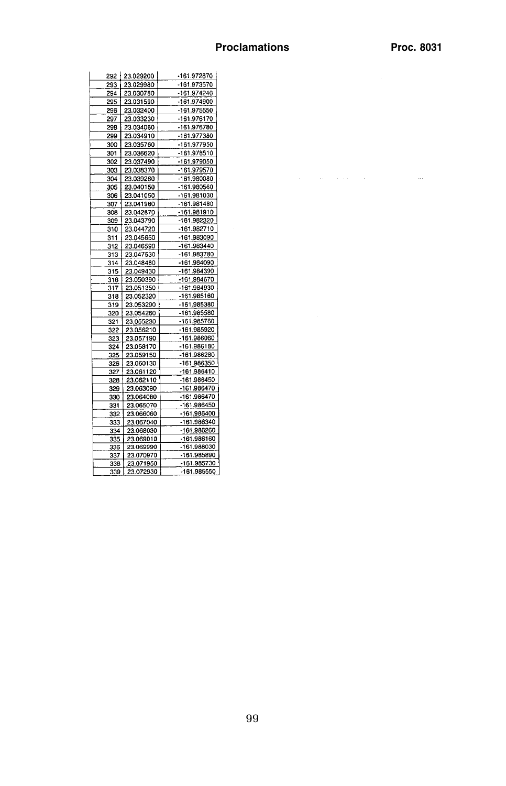$\bar{\phi}$ 

| 292  | 23.029200 | -161.972870 |
|------|-----------|-------------|
| 293  | 23.029980 | -161.973570 |
| 294  | 23.030780 | -161.974240 |
| 295  | 23.031590 | -161.974900 |
|      |           |             |
| 296. | 23.032400 | -161.975550 |
| 297  | 23.033230 | -161.976170 |
| 298  | 23.034060 | -161.976780 |
| 299  | 23.034910 | -161.977380 |
| 300  | 23.035760 | -161.977950 |
| 301  | 23.036620 | -161.978510 |
| 302  | 23.037490 | -161.979050 |
| 303  | 23.038370 | -161.979570 |
| 304  | 23.039260 | -161.980080 |
| 305  | 23.040150 | -161.980560 |
| 306  | 23.041050 | -161.981030 |
| 307  | 23.041960 | -161.981480 |
| 308  | 23.042870 | -161.981910 |
| 309  | 23.043790 | -161.982320 |
| 310  | 23.044720 | -161.982710 |
| 311  | 23.045650 | -161.983090 |
| 312  | 23.046590 | -161.983440 |
| 313  | 23.047530 | -161.983780 |
| 314  | 23.048480 | -161.984090 |
| 315  | 23.049430 | -161.984390 |
| 316  | 23.050390 | -161.984670 |
| 317  | 23.051350 | -161.984930 |
| 318  | 23.052320 | -161.985160 |
| 319  | 23.053290 | -161.985380 |
| 320  | 23.054260 | -161.985580 |
|      |           | -161.985760 |
| 321  | 23.055230 | -161.985920 |
| 322  | 23.056210 |             |
| 323  | 23.057190 | -161.986060 |
| 324  | 23.058170 | -161.986180 |
| 325  | 23.059150 | -161.986280 |
| 326  | 23.060130 | -161.986350 |
| 327  | 23.061120 | -161.986410 |
| 328  | 23.062110 | -161.986450 |
| 329  | 23.063090 | -161.986470 |
| 330  | 23.064080 | -161.986470 |
| 331  | 23.065070 | -161.986450 |
| 332  | 23.066060 | -161.986400 |
| 333  | 23.067040 | -161.986340 |
| 334  | 23.068030 | -161.986260 |
| 335  | 23.069010 | -161.986160 |
| 336  | 23.069990 | -161.986030 |
| 337  | 23.070970 | -161.985890 |
| 338  | 23.071950 | -161.985730 |
| 339  | 23.072930 | -161.985550 |
|      |           |             |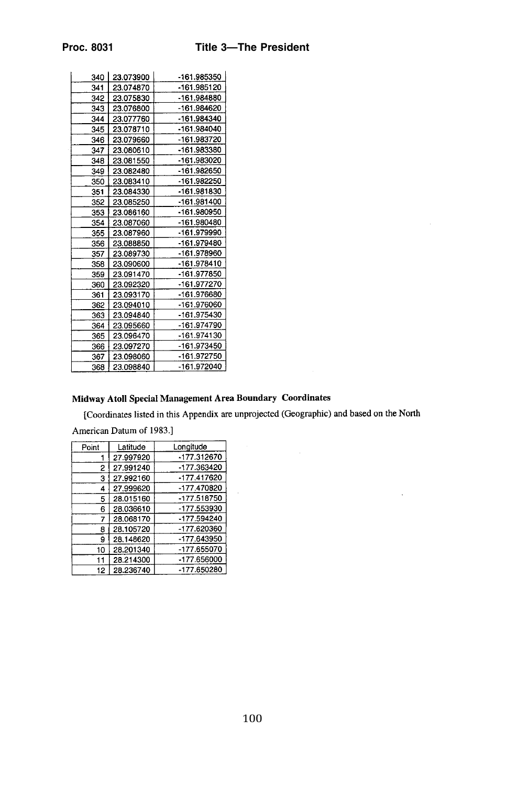| 340 | 23.073900 | -161.985350 |
|-----|-----------|-------------|
| 341 | 23.074870 | -161.985120 |
| 342 | 23.075830 | -161.984880 |
| 343 | 23.076800 | -161.984620 |
| 344 | 23.077760 | -161.984340 |
| 345 | 23.078710 | -161.984040 |
| 346 | 23.079660 | -161.983720 |
| 347 | 23.080610 | -161.983380 |
| 348 | 23.081550 | -161.983020 |
| 349 | 23.082480 | -161.982650 |
| 350 | 23.083410 | -161.982250 |
| 351 | 23.084330 | -161.981830 |
| 352 | 23.085250 | -161.981400 |
| 353 | 23.086160 | -161.980950 |
| 354 | 23.087060 | -161.980480 |
| 355 | 23.087960 | -161.979990 |
| 356 | 23.088850 | -161.979480 |
| 357 | 23.089730 | -161.978960 |
| 358 | 23.090600 | -161.978410 |
| 359 | 23.091470 | -161.977850 |
| 360 | 23.092320 | -161.977270 |
| 361 | 23.093170 | -161.976680 |
| 362 | 23.094010 | -161.976060 |
| 363 | 23.094840 | -161.975430 |
| 364 | 23.095660 | -161.974790 |
| 365 | 23.096470 | -161.974130 |
| 366 | 23.097270 | -161.973450 |
| 367 | 23.098060 | -161.972750 |
| 368 | 23.098840 | -161.972040 |

## Midway Atoll Special Management Area Boundary Coordinates

[Coordinates listed in this Appendix are unprojected (Geographic) and based on the North

 $\ddot{\phantom{a}}$ 

American Datum of 1983.]

| Point | Latitude  | Longitude     |
|-------|-----------|---------------|
|       | 27.997920 | -177.312670   |
| 2     | 27.991240 | -177.363420   |
| 3     | 27.992160 | $-177.417620$ |
| 4     | 27.999620 | -177.470820   |
| 5     | 28.015160 | -177.518750   |
| 6     | 28.036610 | -177.553930   |
| 7     | 28.068170 | -177.594240   |
| 8     | 28.105720 | -177.620360   |
| 9     | 28.148620 | -177.643950   |
| 10    | 28.201340 | -177.655070   |
| 11    | 28.214300 | -177.656000   |
| 12    | 28.236740 | -177.650280   |